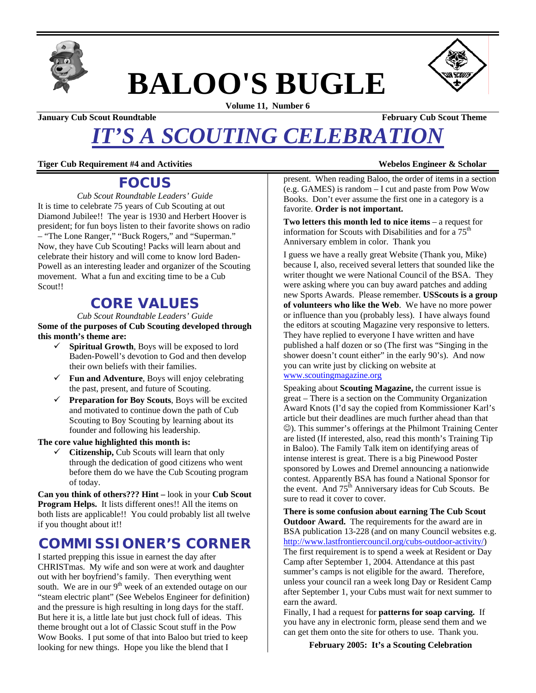

# **BALOO'S BUGLE**

**Volume 11, Number 6** 

**January Cub Scout Roundtable February Cub Scout Theme** 

# *IT'S A SCOUTING CELEBRATIC*

### **Tiger Cub Requirement #4 and Activities Scholar Research Activities Scholar Research Activities Research Activities**

## **FOCUS**

*Cub Scout Roundtable Leaders' Guide*  It is time to celebrate 75 years of Cub Scouting at out Diamond Jubilee!! The year is 1930 and Herbert Hoover is president; for fun boys listen to their favorite shows on radio – "The Lone Ranger," "Buck Rogers," and "Superman." Now, they have Cub Scouting! Packs will learn about and celebrate their history and will come to know lord Baden-Powell as an interesting leader and organizer of the Scouting movement. What a fun and exciting time to be a Cub Scout!!

## **CORE VALUES**

*Cub Scout Roundtable Leaders' Guide*  **Some of the purposes of Cub Scouting developed through this month's theme are:** 

- $\checkmark$  **Spiritual Growth**, Boys will be exposed to lord Baden-Powell's devotion to God and then develop their own beliefs with their families.
- $\checkmark$  **Fun and Adventure**, Boys will enjoy celebrating the past, present, and future of Scouting.
- $\checkmark$  **Preparation for Boy Scouts**, Boys will be excited and motivated to continue down the path of Cub Scouting to Boy Scouting by learning about its founder and following his leadership.

#### **The core value highlighted this month is:**

9 **Citizenship,** Cub Scouts will learn that only through the dedication of good citizens who went before them do we have the Cub Scouting program of today.

**Can you think of others??? Hint –** look in your **Cub Scout Program Helps.** It lists different ones!! All the items on both lists are applicable!! You could probably list all twelve if you thought about it!!

## **COMMISSIONER'S CORNER**

I started prepping this issue in earnest the day after CHRISTmas. My wife and son were at work and daughter out with her boyfriend's family. Then everything went south. We are in our  $9<sup>th</sup>$  week of an extended outage on our "steam electric plant" (See Webelos Engineer for definition) and the pressure is high resulting in long days for the staff. But here it is, a little late but just chock full of ideas. This theme brought out a lot of Classic Scout stuff in the Pow Wow Books. I put some of that into Baloo but tried to keep looking for new things. Hope you like the blend that I

present. When reading Baloo, the order of items in a section (e.g. GAMES) is random – I cut and paste from Pow Wow Books. Don't ever assume the first one in a category is a favorite. **Order is not important.** 

**Two letters this month led to nice items** – a request for information for Scouts with Disabilities and for a  $75<sup>th</sup>$ Anniversary emblem in color. Thank you

I guess we have a really great Website (Thank you, Mike) because I, also, received several letters that sounded like the writer thought we were National Council of the BSA. They were asking where you can buy award patches and adding new Sports Awards. Please remember. **USScouts is a group of volunteers who like the Web**. We have no more power or influence than you (probably less). I have always found the editors at scouting Magazine very responsive to letters. They have replied to everyone I have written and have published a half dozen or so (The first was "Singing in the shower doesn't count either" in the early 90's). And now you can write just by clicking on website at [www.scoutingmagazine.org](http://www.scoutingmagazine.org/)

Speaking about **Scouting Magazine,** the current issue is great – There is a section on the Community Organization Award Knots (I'd say the copied from Kommissioner Karl's article but their deadlines are much further ahead than that ☺). This summer's offerings at the Philmont Training Center are listed (If interested, also, read this month's Training Tip in Baloo). The Family Talk item on identifying areas of intense interest is great. There is a big Pinewood Poster sponsored by Lowes and Dremel announcing a nationwide contest. Apparently BSA has found a National Sponsor for the event. And 75<sup>th</sup> Anniversary ideas for Cub Scouts. Be sure to read it cover to cover.

**There is some confusion about earning The Cub Scout Outdoor Award.** The requirements for the award are in BSA publication 13-228 (and on many Council websites e.g. [http://www.lastfrontiercouncil.org/cubs-outdoor-activity/\)](http://www.lastfrontiercouncil.org/cubs-outdoor-activity/) The first requirement is to spend a week at Resident or Day Camp after September 1, 2004. Attendance at this past summer's camps is not eligible for the award. Therefore, unless your council ran a week long Day or Resident Camp after September 1, your Cubs must wait for next summer to earn the award.

Finally, I had a request for **patterns for soap carving.** If you have any in electronic form, please send them and we can get them onto the site for others to use. Thank you.

**February 2005: It's a Scouting Celebration**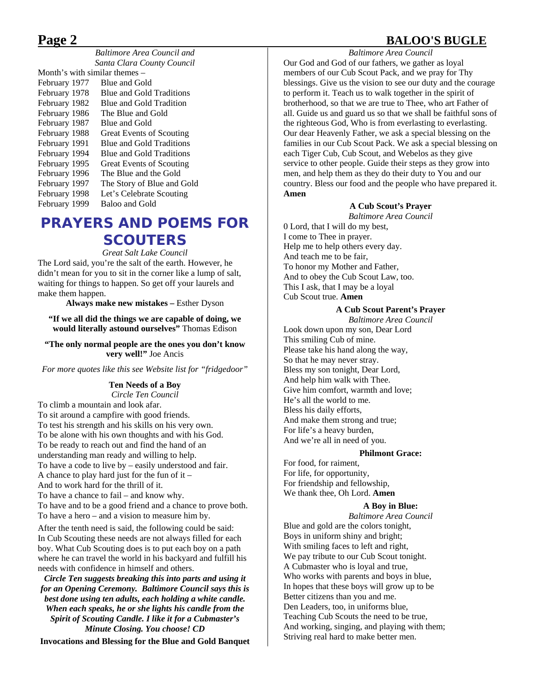|                               | <b>Baltimore Area Council and</b> |  |
|-------------------------------|-----------------------------------|--|
|                               | Santa Clara County Council        |  |
| Month's with similar themes – |                                   |  |
| February 1977                 | Blue and Gold                     |  |
| February 1978                 | <b>Blue and Gold Traditions</b>   |  |
| February 1982                 | Blue and Gold Tradition           |  |
| February 1986                 | The Blue and Gold                 |  |
| February 1987                 | Blue and Gold                     |  |
| February 1988                 | <b>Great Events of Scouting</b>   |  |
| February 1991                 | Blue and Gold Traditions          |  |
| February 1994                 | Blue and Gold Traditions          |  |
| February 1995                 | <b>Great Events of Scouting</b>   |  |
| February 1996                 | The Blue and the Gold             |  |
| February 1997                 | The Story of Blue and Gold        |  |
| February 1998                 | Let's Celebrate Scouting          |  |
| February 1999                 | <b>Baloo and Gold</b>             |  |
|                               |                                   |  |

## **PRAYERS AND POEMS FOR SCOUTERS**

#### *Great Salt Lake Council*

The Lord said, you're the salt of the earth. However, he didn't mean for you to sit in the corner like a lump of salt, waiting for things to happen. So get off your laurels and make them happen.

**Always make new mistakes –** Esther Dyson

#### **"If we all did the things we are capable of doing, we would literally astound ourselves"** Thomas Edison

#### **"The only normal people are the ones you don't know very well!"** Joe Ancis

*For more quotes like this see Website list for "fridgedoor"*

#### **Ten Needs of a Boy**

*Circle Ten Council*  To climb a mountain and look afar. To sit around a campfire with good friends. To test his strength and his skills on his very own. To be alone with his own thoughts and with his God. To be ready to reach out and find the hand of an understanding man ready and willing to help. To have a code to live by – easily understood and fair. A chance to play hard just for the fun of it – And to work hard for the thrill of it. To have a chance to fail – and know why. To have and to be a good friend and a chance to prove both. To have a hero – and a vision to measure him by.

After the tenth need is said, the following could be said: In Cub Scouting these needs are not always filled for each boy. What Cub Scouting does is to put each boy on a path where he can travel the world in his backyard and fulfill his needs with confidence in himself and others.

*Circle Ten suggests breaking this into parts and using it for an Opening Ceremony. Baltimore Council says this is best done using ten adults, each holding a white candle. When each speaks, he or she lights his candle from the Spirit of Scouting Candle. I like it for a Cubmaster's Minute Closing. You choose! CD* 

**Invocations and Blessing for the Blue and Gold Banquet** 

### **Page 2** BALOO'S BUGLE

#### *Baltimore Area Council*

Our God and God of our fathers, we gather as loyal members of our Cub Scout Pack, and we pray for Thy blessings. Give us the vision to see our duty and the courage to perform it. Teach us to walk together in the spirit of brotherhood, so that we are true to Thee, who art Father of all. Guide us and guard us so that we shall be faithful sons of the righteous God, Who is from everlasting to everlasting. Our dear Heavenly Father, we ask a special blessing on the families in our Cub Scout Pack. We ask a special blessing on each Tiger Cub, Cub Scout, and Webelos as they give service to other people. Guide their steps as they grow into men, and help them as they do their duty to You and our country. Bless our food and the people who have prepared it. **Amen**

#### **A Cub Scout's Prayer**

*Baltimore Area Council*  0 Lord, that I will do my best, I come to Thee in prayer. Help me to help others every day. And teach me to be fair, To honor my Mother and Father, And to obey the Cub Scout Law, too. This I ask, that I may be a loyal Cub Scout true. **Amen** 

#### **A Cub Scout Parent's Prayer**

*Baltimore Area Council* 

Look down upon my son, Dear Lord This smiling Cub of mine. Please take his hand along the way, So that he may never stray. Bless my son tonight, Dear Lord, And help him walk with Thee. Give him comfort, warmth and love; He's all the world to me. Bless his daily efforts, And make them strong and true; For life's a heavy burden, And we're all in need of you.

#### **Philmont Grace:**

For food, for raiment, For life, for opportunity, For friendship and fellowship, We thank thee, Oh Lord. **Amen** 

#### **A Boy in Blue:**

*Baltimore Area Council*  Blue and gold are the colors tonight, Boys in uniform shiny and bright; With smiling faces to left and right, We pay tribute to our Cub Scout tonight. A Cubmaster who is loyal and true, Who works with parents and boys in blue, In hopes that these boys will grow up to be Better citizens than you and me. Den Leaders, too, in uniforms blue, Teaching Cub Scouts the need to be true, And working, singing, and playing with them; Striving real hard to make better men.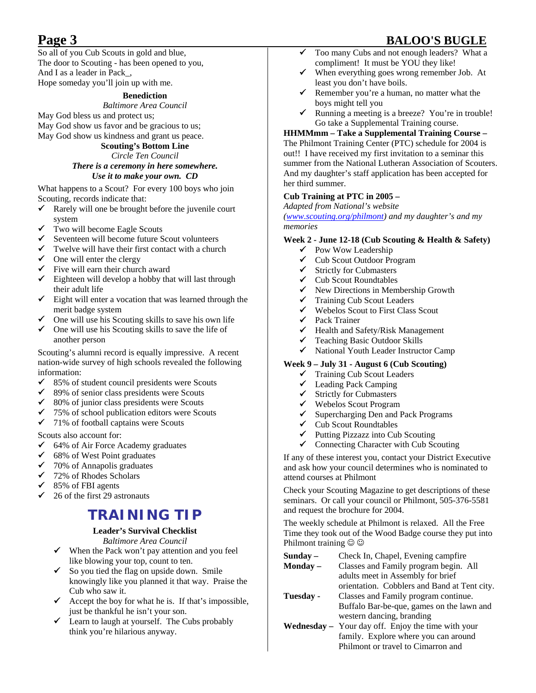So all of you Cub Scouts in gold and blue, The door to Scouting - has been opened to you, And I as a leader in Pack\_, Hope someday you'll join up with me.

#### **Benediction**

#### *Baltimore Area Council*

May God bless us and protect us; May God show us favor and be gracious to us;

May God show us kindness and grant us peace. **Scouting's Bottom Line** 

#### *Circle Ten Council*

### *There is a ceremony in here somewhere. Use it to make your own. CD*

What happens to a Scout? For every 100 boys who join Scouting, records indicate that:

- $\checkmark$  Rarely will one be brought before the juvenile court system
- $\checkmark$  Two will become Eagle Scouts
- $\checkmark$  Seventeen will become future Scout volunteers
- $\checkmark$  Twelve will have their first contact with a church
- $\overline{\phantom{0}}$  Tweive will nave their the  $\overline{\phantom{0}}$
- $\checkmark$  Five will earn their church award
- $\checkmark$  Eighteen will develop a hobby that will last through their adult life
- $\checkmark$  Eight will enter a vocation that was learned through the merit badge system
- $\checkmark$  One will use his Scouting skills to save his own life
- $\checkmark$  One will use his Scouting skills to save the life of another person

Scouting's alumni record is equally impressive. A recent nation-wide survey of high schools revealed the following information:

- $\checkmark$  85% of student council presidents were Scouts
- $\checkmark$  89% of senior class presidents were Scouts
- $\checkmark$  80% of junior class presidents were Scouts
- $\checkmark$  75% of school publication editors were Scouts
- $\checkmark$  71% of football captains were Scouts

Scouts also account for:

- $\checkmark$  64% of Air Force Academy graduates
- $\checkmark$  68% of West Point graduates
- $\checkmark$  70% of Annapolis graduates
- $\overline{9}$  72% of Rhodes Scholars
- $\checkmark$  85% of FBI agents
- $\checkmark$  26 of the first 29 astronauts

## **TRAINING TIP**

#### **Leader's Survival Checklist**

*Baltimore Area Council* 

- $\checkmark$  When the Pack won't pay attention and you feel like blowing your top, count to ten.
- $\checkmark$  So you tied the flag on upside down. Smile knowingly like you planned it that way. Praise the Cub who saw it.
- $\checkmark$  Accept the boy for what he is. If that's impossible, just be thankful he isn't your son.
- $\checkmark$  Learn to laugh at yourself. The Cubs probably think you're hilarious anyway.
- **Page 3**<br>So all of you Cub Scouts in gold and blue.<br>Respectively. Too many Cubs and not enough leaders? What a Too many Cubs and not enough leaders? What a compliment! It must be YOU they like!
	- When everything goes wrong remember Job. At least you don't have boils.
	- $\checkmark$  Remember you're a human, no matter what the boys might tell you
	- Running a meeting is a breeze? You're in trouble! Go take a Supplemental Training course.

#### **HHMMmm – Take a Supplemental Training Course –**

The Philmont Training Center (PTC) schedule for 2004 is out!! I have received my first invitation to a seminar this summer from the National Lutheran Association of Scouters. And my daughter's staff application has been accepted for her third summer.

#### **Cub Training at PTC in 2005 –**

*Adapted from National's website [\(www.scouting.org/philmont](http://www.scouting.org/philmont)) and my daughter's and my memories* 

#### **Week 2 - June 12-18 (Cub Scouting & Health & Safety)**

- $\checkmark$  Pow Wow Leadership
- 9 Cub Scout Outdoor Program
- $\checkmark$  Strictly for Cubmasters
- $\checkmark$  Cub Scout Roundtables
- $\checkmark$  New Directions in Membership Growth
- 9 Training Cub Scout Leaders
- 9 Webelos Scout to First Class Scout
- $\checkmark$  Pack Trainer
- $\checkmark$  Health and Safety/Risk Management
- $\checkmark$  Teaching Basic Outdoor Skills
- 9 National Youth Leader Instructor Camp

#### **Week 9 – July 31 - August 6 (Cub Scouting)**

- $\checkmark$  Training Cub Scout Leaders
- Leading Pack Camping
- $\checkmark$  Strictly for Cubmasters
- $\checkmark$  Webelos Scout Program
- $\checkmark$  Supercharging Den and Pack Programs
- $\checkmark$  Cub Scout Roundtables
- $\checkmark$  Putting Pizzazz into Cub Scouting
- $\checkmark$  Connecting Character with Cub Scouting

If any of these interest you, contact your District Executive and ask how your council determines who is nominated to attend courses at Philmont

Check your Scouting Magazine to get descriptions of these seminars. Or call your council or Philmont, 505-376-5581 and request the brochure for 2004.

The weekly schedule at Philmont is relaxed. All the Free Time they took out of the Wood Badge course they put into Philmont training  $\odot \odot$ 

| $Sunday -$ | Check In, Chapel, Evening campfire                 |
|------------|----------------------------------------------------|
| Monday $-$ | Classes and Family program begin. All              |
|            | adults meet in Assembly for brief                  |
|            | orientation. Cobblers and Band at Tent city.       |
| Tuesday -  | Classes and Family program continue.               |
|            | Buffalo Bar-be-que, games on the lawn and          |
|            | western dancing, branding                          |
|            | Wednesday - Your day off. Enjoy the time with your |
|            | family. Explore where you can around               |
|            | Philmont or travel to Cimarron and                 |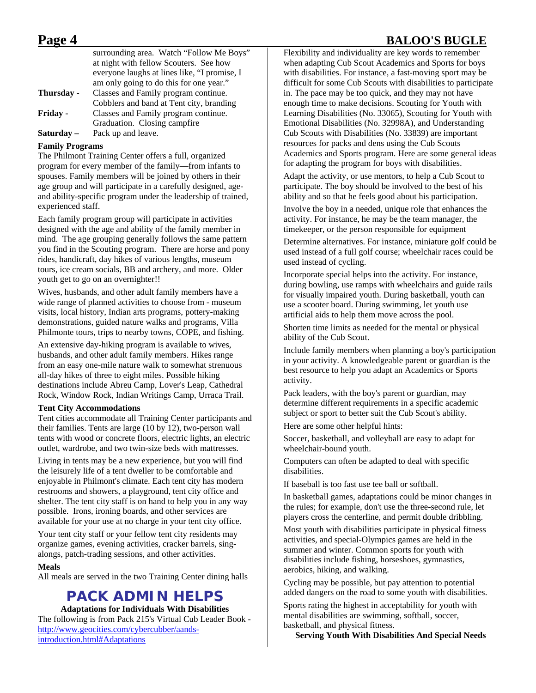## **Page 4** BALOO'S BUGLE

|              | surrounding area. Watch "Follow Me Boys"     |  |  |
|--------------|----------------------------------------------|--|--|
|              | at night with fellow Scouters. See how       |  |  |
|              | everyone laughs at lines like, "I promise, I |  |  |
|              | am only going to do this for one year."      |  |  |
| Thursday -   | Classes and Family program continue.         |  |  |
|              | Cobblers and band at Tent city, branding     |  |  |
| Friday -     | Classes and Family program continue.         |  |  |
|              | Graduation. Closing campfire                 |  |  |
| $Saturdav -$ | Pack up and leave.                           |  |  |

#### **Family Programs**

The Philmont Training Center offers a full, organized program for every member of the family—from infants to spouses. Family members will be joined by others in their age group and will participate in a carefully designed, ageand ability-specific program under the leadership of trained, experienced staff.

Each family program group will participate in activities designed with the age and ability of the family member in mind. The age grouping generally follows the same pattern you find in the Scouting program. There are horse and pony rides, handicraft, day hikes of various lengths, museum tours, ice cream socials, BB and archery, and more. Older youth get to go on an overnighter!!

Wives, husbands, and other adult family members have a wide range of planned activities to choose from - museum visits, local history, Indian arts programs, pottery-making demonstrations, guided nature walks and programs, Villa Philmonte tours, trips to nearby towns, COPE, and fishing.

An extensive day-hiking program is available to wives, husbands, and other adult family members. Hikes range from an easy one-mile nature walk to somewhat strenuous all-day hikes of three to eight miles. Possible hiking destinations include Abreu Camp, Lover's Leap, Cathedral Rock, Window Rock, Indian Writings Camp, Urraca Trail.

#### **Tent City Accommodations**

Tent cities accommodate all Training Center participants and their families. Tents are large (10 by 12), two-person wall tents with wood or concrete floors, electric lights, an electric outlet, wardrobe, and two twin-size beds with mattresses.

Living in tents may be a new experience, but you will find the leisurely life of a tent dweller to be comfortable and enjoyable in Philmont's climate. Each tent city has modern restrooms and showers, a playground, tent city office and shelter. The tent city staff is on hand to help you in any way possible. Irons, ironing boards, and other services are available for your use at no charge in your tent city office.

Your tent city staff or your fellow tent city residents may organize games, evening activities, cracker barrels, singalongs, patch-trading sessions, and other activities.

#### **Meals**

All meals are served in the two Training Center dining halls

## **PACK ADMIN HELPS**

**Adaptations for Individuals With Disabilities**  The following is from Pack 215's Virtual Cub Leader Book http://www.geocities.com/cybercubber/aandsintroduction.html#Adaptations

Flexibility and individuality are key words to remember when adapting Cub Scout Academics and Sports for boys with disabilities. For instance, a fast-moving sport may be difficult for some Cub Scouts with disabilities to participate in. The pace may be too quick, and they may not have enough time to make decisions. Scouting for Youth with Learning Disabilities (No. 33065), Scouting for Youth with Emotional Disabilities (No. 32998A), and Understanding Cub Scouts with Disabilities (No. 33839) are important resources for packs and dens using the Cub Scouts Academics and Sports program. Here are some general ideas for adapting the program for boys with disabilities.

Adapt the activity, or use mentors, to help a Cub Scout to participate. The boy should be involved to the best of his ability and so that he feels good about his participation.

Involve the boy in a needed, unique role that enhances the activity. For instance, he may be the team manager, the timekeeper, or the person responsible for equipment

Determine alternatives. For instance, miniature golf could be used instead of a full golf course; wheelchair races could be used instead of cycling.

Incorporate special helps into the activity. For instance, during bowling, use ramps with wheelchairs and guide rails for visually impaired youth. During basketball, youth can use a scooter board. During swimming, let youth use artificial aids to help them move across the pool.

Shorten time limits as needed for the mental or physical ability of the Cub Scout.

Include family members when planning a boy's participation in your activity. A knowledgeable parent or guardian is the best resource to help you adapt an Academics or Sports activity.

Pack leaders, with the boy's parent or guardian, may determine different requirements in a specific academic subject or sport to better suit the Cub Scout's ability.

Here are some other helpful hints:

Soccer, basketball, and volleyball are easy to adapt for wheelchair-bound youth.

Computers can often be adapted to deal with specific disabilities.

If baseball is too fast use tee ball or softball.

In basketball games, adaptations could be minor changes in the rules; for example, don't use the three-second rule, let players cross the centerline, and permit double dribbling.

Most youth with disabilities participate in physical fitness activities, and special-Olympics games are held in the summer and winter. Common sports for youth with disabilities include fishing, horseshoes, gymnastics, aerobics, hiking, and walking.

Cycling may be possible, but pay attention to potential added dangers on the road to some youth with disabilities.

Sports rating the highest in acceptability for youth with mental disabilities are swimming, softball, soccer, basketball, and physical fitness.

**Serving Youth With Disabilities And Special Needs**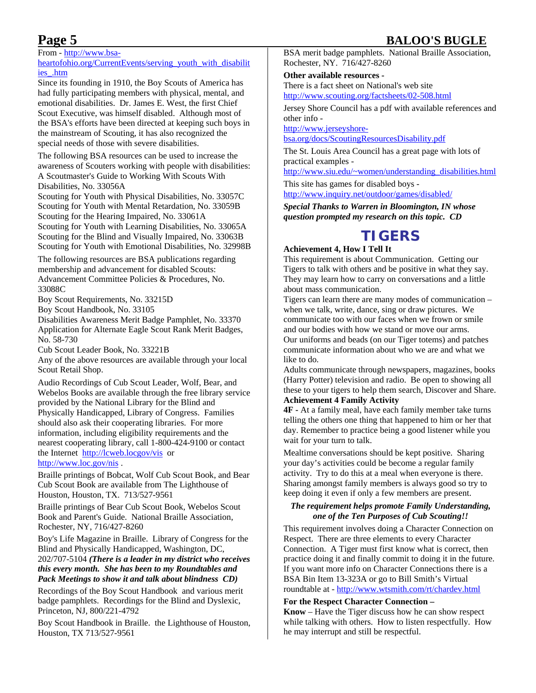## **Page 5** BALOO'S BUGLE

From - [http://www.bsa](http://www.bsa-heartofohio.org/CurrentEvents/serving_youth_with_disabilities_.htm)[heartofohio.org/CurrentEvents/serving\\_youth\\_with\\_disabilit](http://www.bsa-heartofohio.org/CurrentEvents/serving_youth_with_disabilities_.htm)\_ [ies\\_.htm](http://www.bsa-heartofohio.org/CurrentEvents/serving_youth_with_disabilities_.htm)

Since its founding in 1910, the Boy Scouts of America has had fully participating members with physical, mental, and emotional disabilities. Dr. James E. West, the first Chief Scout Executive, was himself disabled. Although most of the BSA's efforts have been directed at keeping such boys in the mainstream of Scouting, it has also recognized the special needs of those with severe disabilities.

The following BSA resources can be used to increase the awareness of Scouters working with people with disabilities: A Scoutmaster's Guide to Working With Scouts With Disabilities, No. 33056A

Scouting for Youth with Physical Disabilities, No. 33057C Scouting for Youth with Mental Retardation, No. 33059B Scouting for the Hearing Impaired, No. 33061A Scouting for Youth with Learning Disabilities, No. 33065A

Scouting for the Blind and Visually Impaired, No. 33063B Scouting for Youth with Emotional Disabilities, No. 32998B

The following resources are BSA publications regarding membership and advancement for disabled Scouts: Advancement Committee Policies & Procedures, No. 33088C

Boy Scout Requirements, No. 33215D

Boy Scout Handbook, No. 33105

Disabilities Awareness Merit Badge Pamphlet, No. 33370 Application for Alternate Eagle Scout Rank Merit Badges, No. 58-730

Cub Scout Leader Book, No. 33221B

Any of the above resources are available through your local Scout Retail Shop.

Audio Recordings of Cub Scout Leader, Wolf, Bear, and Webelos Books are available through the free library service provided by the National Library for the Blind and Physically Handicapped, Library of Congress. Families should also ask their cooperating libraries. For more information, including eligibility requirements and the nearest cooperating library, call 1-800-424-9100 or contact the Internet <http://lcweb.locgov/vis>or <http://www.loc.gov/nis> .

Braille printings of Bobcat, Wolf Cub Scout Book, and Bear Cub Scout Book are available from The Lighthouse of Houston, Houston, TX. 713/527-9561

Braille printings of Bear Cub Scout Book, Webelos Scout Book and Parent's Guide. National Braille Association, Rochester, NY, 716/427-8260

Boy's Life Magazine in Braille. Library of Congress for the Blind and Physically Handicapped, Washington, DC, 202/707-5104 *(There is a leader in my district who receives this every month. She has been to my Roundtables and Pack Meetings to show it and talk about blindness CD)* 

Recordings of the Boy Scout Handbook and various merit badge pamphlets. Recordings for the Blind and Dyslexic, Princeton, NJ, 800/221-4792

Boy Scout Handbook in Braille. the Lighthouse of Houston, Houston, TX 713/527-9561

BSA merit badge pamphlets. National Braille Association, Rochester, NY. 716/427-8260

#### **Other available resources -**

There is a fact sheet on National's web site <http://www.scouting.org/factsheets/02-508.html>

Jersey Shore Council has a pdf with available references and other info -

[http://www.jerseyshore-](http://www.jerseyshore-bsa.org/docs/ScoutingResourcesDisability.pdf)

[bsa.org/docs/ScoutingResourcesDisability.pdf](http://www.jerseyshore-bsa.org/docs/ScoutingResourcesDisability.pdf) 

The St. Louis Area Council has a great page with lots of practical examples -

[http://www.siu.edu/~women/understanding\\_disabilities.html](http://www.siu.edu/~women/understanding_disabilities.html) 

This site has games for disabled boys <http://www.inquiry.net/outdoor/games/disabled/>

*Special Thanks to Warren in Bloomington, IN whose question prompted my research on this topic. CD* 

## **TIGERS**

**Achievement 4, How I Tell It** 

This requirement is about Communication. Getting our Tigers to talk with others and be positive in what they say. They may learn how to carry on conversations and a little about mass communication.

Tigers can learn there are many modes of communication – when we talk, write, dance, sing or draw pictures. We communicate too with our faces when we frown or smile and our bodies with how we stand or move our arms. Our uniforms and beads (on our Tiger totems) and patches communicate information about who we are and what we like to do.

Adults communicate through newspapers, magazines, books (Harry Potter) television and radio. Be open to showing all these to your tigers to help them search, Discover and Share. **Achievement 4 Family Activity** 

**4F -** At a family meal, have each family member take turns telling the others one thing that happened to him or her that day. Remember to practice being a good listener while you wait for your turn to talk.

Mealtime conversations should be kept positive. Sharing your day's activities could be become a regular family activity. Try to do this at a meal when everyone is there. Sharing amongst family members is always good so try to keep doing it even if only a few members are present.

#### *The requirement helps promote Family Understanding, one of the Ten Purposes of Cub Scouting!!*

This requirement involves doing a Character Connection on Respect. There are three elements to every Character Connection. A Tiger must first know what is correct, then practice doing it and finally commit to doing it in the future. If you want more info on Character Connections there is a BSA Bin Item 13-323A or go to Bill Smith's Virtual roundtable at - <http://www.wtsmith.com/rt/chardev.html>

#### **For the Respect Character Connection –**

**Know** – Have the Tiger discuss how he can show respect while talking with others. How to listen respectfully. How he may interrupt and still be respectful.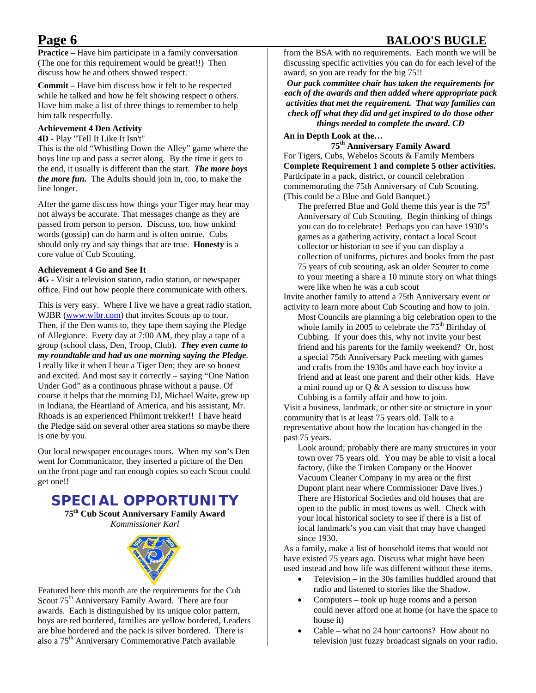## **Page 6** BALOO'S BUGLE

**Practice –** Have him participate in a family conversation (The one for this requirement would be great!!) Then discuss how he and others showed respect.

**Commit –** Have him discuss how it felt to be respected while he talked and how he felt showing respect o others. Have him make a list of three things to remember to help him talk respectfully.

### **Achievement 4 Den Activity**

#### **4D -** Play "Tell It Like It Isn't"

This is the old "Whistling Down the Alley" game where the boys line up and pass a secret along. By the time it gets to the end, it usually is different than the start. *The more boys the more fun.* The Adults should join in, too, to make the line longer.

After the game discuss how things your Tiger may hear may not always be accurate. That messages change as they are passed from person to person. Discuss, too, how unkind words (gossip) can do harm and is often untrue. Cubs should only try and say things that are true. **Honesty** is a core value of Cub Scouting.

#### **Achievement 4 Go and See It**

**4G -** Visit a television station, radio station, or newspaper office. Find out how people there communicate with others.

This is very easy. Where I live we have a great radio station, WJBR ([www.wjbr.com\)](http://www.wjbr.com/) that invites Scouts up to tour. Then, if the Den wants to, they tape them saying the Pledge of Allegiance. Every day at 7:00 AM, they play a tape of a group (school class, Den, Troop, Club). *They even came to my roundtable and had us one morning saying the Pledge.* I really like it when I hear a Tiger Den; they are so honest and excited. And most say it correctly – saying "One Nation Under God" as a continuous phrase without a pause. Of course it helps that the morning DJ, Michael Waite, grew up in Indiana, the Heartland of America, and his assistant, Mr. Rhoads is an experienced Philmont trekker!! I have heard the Pledge said on several other area stations so maybe there is one by you.

Our local newspaper encourages tours. When my son's Den went for Communicator, they inserted a picture of the Den on the front page and ran enough copies so each Scout could get one!!

## **SPECIAL OPPORTUNITY**

**75th Cub Scout Anniversary Family Award**  *Kommissioner Karl* 



Featured here this month are the requirements for the Cub Scout 75<sup>th</sup> Anniversary Family Award. There are four awards. Each is distinguished by its unique color pattern, boys are red bordered, families are yellow bordered, Leaders are blue bordered and the pack is silver bordered. There is also a 75th Anniversary Commemorative Patch available

from the BSA with no requirements. Each month we will be discussing specific activities you can do for each level of the award, so you are ready for the big 75!!

*Our pack committee chair has taken the requirements for each of the awards and then added where appropriate pack activities that met the requirement. That way families can check off what they did and get inspired to do those other things needed to complete the award. CD*

### **An in Depth Look at the…**

**75th Anniversary Family Award**  For Tigers, Cubs, Webelos Scouts & Family Members **Complete Requirement 1 and complete 5 other activities.**  Participate in a pack, district, or council celebration commemorating the 75th Anniversary of Cub Scouting. (This could be a Blue and Gold Banquet.)

The preferred Blue and Gold theme this year is the  $75<sup>th</sup>$ Anniversary of Cub Scouting. Begin thinking of things you can do to celebrate! Perhaps you can have 1930's games as a gathering activity, contact a local Scout collector or historian to see if you can display a collection of uniforms, pictures and books from the past 75 years of cub scouting, ask an older Scouter to come to your meeting a share a 10 minute story on what things were like when he was a cub scout

Invite another family to attend a 75th Anniversary event or activity to learn more about Cub Scouting and how to join.

Most Councils are planning a big celebration open to the whole family in 2005 to celebrate the 75<sup>th</sup> Birthday of Cubbing. If your does this, why not invite your best friend and his parents for the family weekend? Or, host a special 75th Anniversary Pack meeting with games and crafts from the 1930s and have each boy invite a friend and at least one parent and their other kids. Have a mini round up or Q & A session to discuss how Cubbing is a family affair and how to join.

Visit a business, landmark, or other site or structure in your community that is at least 75 years old. Talk to a representative about how the location has changed in the past 75 years.

Look around; probably there are many structures in your town over 75 years old. You may be able to visit a local factory, (like the Timken Company or the Hoover Vacuum Cleaner Company in my area or the first Dupont plant near where Commissioner Dave lives.) There are Historical Societies and old houses that are open to the public in most towns as well. Check with your local historical society to see if there is a list of local landmark's you can visit that may have changed since 1930.

As a family, make a list of household items that would not have existed 75 years ago. Discuss what might have been used instead and how life was different without these items.

- Television in the  $30s$  families huddled around that radio and listened to stories like the Shadow.
- Computers took up huge rooms and a person could never afford one at home (or have the space to house it)
- Cable what no 24 hour cartoons? How about no television just fuzzy broadcast signals on your radio.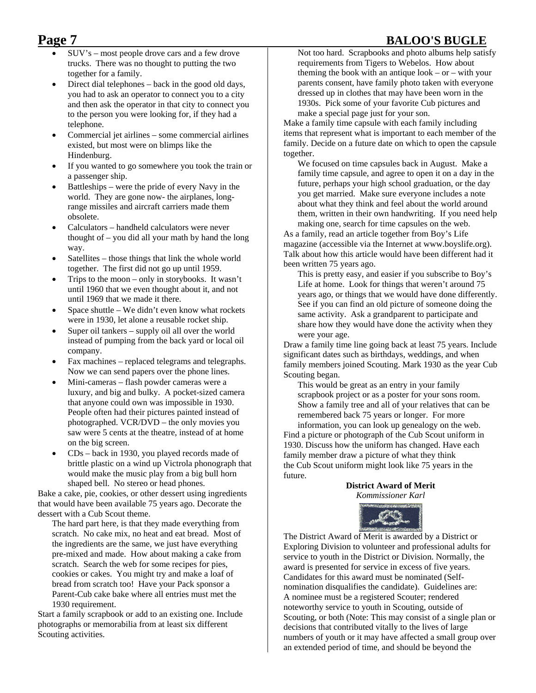- Page 7 BALOO'S BUGLE
	- SUV's most people drove cars and a few drove trucks. There was no thought to putting the two together for a family.
	- Direct dial telephones back in the good old days, you had to ask an operator to connect you to a city and then ask the operator in that city to connect you to the person you were looking for, if they had a telephone.
	- Commercial jet airlines some commercial airlines existed, but most were on blimps like the Hindenburg.
	- If you wanted to go somewhere you took the train or a passenger ship.
	- Battleships were the pride of every Navy in the world. They are gone now- the airplanes, longrange missiles and aircraft carriers made them obsolete.
	- Calculators handheld calculators were never thought of – you did all your math by hand the long way.
	- Satellites those things that link the whole world together. The first did not go up until 1959.
	- Trips to the moon only in storybooks. It wasn't until 1960 that we even thought about it, and not until 1969 that we made it there.
	- Space shuttle We didn't even know what rockets were in 1930, let alone a reusable rocket ship.
	- Super oil tankers supply oil all over the world instead of pumping from the back yard or local oil company.
	- Fax machines replaced telegrams and telegraphs. Now we can send papers over the phone lines.
	- Mini-cameras flash powder cameras were a luxury, and big and bulky. A pocket-sized camera that anyone could own was impossible in 1930. People often had their pictures painted instead of photographed. VCR/DVD – the only movies you saw were 5 cents at the theatre, instead of at home on the big screen.
	- CDs back in 1930, you played records made of brittle plastic on a wind up Victrola phonograph that would make the music play from a big bull horn shaped bell. No stereo or head phones.

Bake a cake, pie, cookies, or other dessert using ingredients that would have been available 75 years ago. Decorate the dessert with a Cub Scout theme.

The hard part here, is that they made everything from scratch. No cake mix, no heat and eat bread. Most of the ingredients are the same, we just have everything pre-mixed and made. How about making a cake from scratch. Search the web for some recipes for pies, cookies or cakes. You might try and make a loaf of bread from scratch too! Have your Pack sponsor a Parent-Cub cake bake where all entries must met the 1930 requirement.

Start a family scrapbook or add to an existing one. Include photographs or memorabilia from at least six different Scouting activities.

Not too hard. Scrapbooks and photo albums help satisfy requirements from Tigers to Webelos. How about theming the book with an antique look – or – with your parents consent, have family photo taken with everyone dressed up in clothes that may have been worn in the 1930s. Pick some of your favorite Cub pictures and make a special page just for your son.

Make a family time capsule with each family including items that represent what is important to each member of the family. Decide on a future date on which to open the capsule together.

We focused on time capsules back in August. Make a family time capsule, and agree to open it on a day in the future, perhaps your high school graduation, or the day you get married. Make sure everyone includes a note about what they think and feel about the world around them, written in their own handwriting. If you need help making one, search for time capsules on the web.

As a family, read an article together from Boy's Life magazine (accessible via the Internet at www.boyslife.org). Talk about how this article would have been different had it been written 75 years ago.

This is pretty easy, and easier if you subscribe to Boy's Life at home. Look for things that weren't around 75 years ago, or things that we would have done differently. See if you can find an old picture of someone doing the same activity. Ask a grandparent to participate and share how they would have done the activity when they were your age.

Draw a family time line going back at least 75 years. Include significant dates such as birthdays, weddings, and when family members joined Scouting. Mark 1930 as the year Cub Scouting began.

This would be great as an entry in your family scrapbook project or as a poster for your sons room. Show a family tree and all of your relatives that can be remembered back 75 years or longer. For more information, you can look up genealogy on the web. Find a picture or photograph of the Cub Scout uniform in 1930. Discuss how the uniform has changed. Have each family member draw a picture of what they think the Cub Scout uniform might look like 75 years in the future.

**District Award of Merit** 

*Kommissioner Karl* 



The District Award of Merit is awarded by a District or Exploring Division to volunteer and professional adults for service to youth in the District or Division. Normally, the award is presented for service in excess of five years. Candidates for this award must be nominated (Selfnomination disqualifies the candidate). Guidelines are: A nominee must be a registered Scouter; rendered noteworthy service to youth in Scouting, outside of Scouting, or both (Note: This may consist of a single plan or decisions that contributed vitally to the lives of large numbers of youth or it may have affected a small group over an extended period of time, and should be beyond the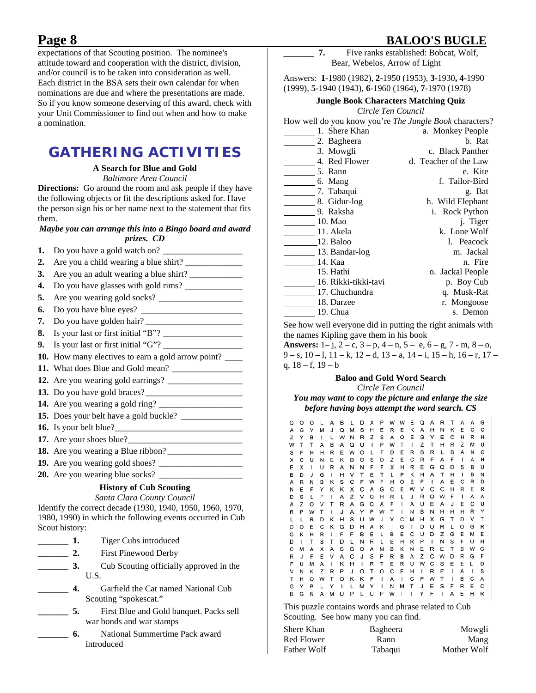expectations of that Scouting position. The nominee's attitude toward and cooperation with the district, division, and/or council is to be taken into consideration as well. Each district in the BSA sets their own calendar for when nominations are due and where the presentations are made. So if you know someone deserving of this award, check with your Unit Commissioner to find out when and how to make a nomination.

## **GATHERING ACTIVITIES**

#### **A Search for Blue and Gold**

*Baltimore Area Council* 

**Directions:** Go around the room and ask people if they have the following objects or fit the descriptions asked for. Have the person sign his or her name next to the statement that fits them.

#### *Maybe you can arrange this into a Bingo board and award prizes. CD*

- **1.** Do you have a gold watch on? \_\_\_\_\_\_\_\_\_\_\_\_\_\_\_\_\_\_ **2.** Are you a child wearing a blue shirt? \_\_\_\_\_\_\_\_\_\_\_\_\_ **3.** Are you an adult wearing a blue shirt? \_\_\_\_\_\_\_\_\_\_\_\_ **4.** Do you have glasses with gold rims? \_\_\_\_\_\_\_\_\_\_\_\_\_ **5.** Are you wearing gold socks? \_\_\_\_\_\_\_\_\_\_\_\_\_\_\_\_\_\_\_ **6.** Do you have blue eyes? \_\_\_\_\_\_\_\_\_\_\_\_\_\_\_\_\_\_\_\_\_\_\_ **7.** Do you have golden hair? \_\_\_\_\_\_\_\_\_\_\_\_\_\_\_\_\_\_\_\_\_\_ **8.** Is your last or first initial "B"? \_\_\_\_\_\_\_\_\_\_\_\_\_\_\_\_\_\_ **9.** Is your last or first initial "G"? \_\_\_\_\_\_\_\_\_\_\_\_\_\_\_\_\_\_ **10.** How many electives to earn a gold arrow point? **11.** What does Blue and Gold mean? \_\_\_\_\_\_\_\_\_\_\_\_\_\_\_\_ **12.** Are you wearing gold earrings? \_\_\_\_\_\_\_\_\_\_\_\_\_\_\_\_\_ **13.** Do you have gold braces? \_\_\_\_\_\_\_\_\_\_\_\_\_\_\_\_\_\_\_\_\_\_ **14.** Are you wearing a gold ring? \_\_\_\_\_\_\_\_\_\_\_\_\_\_\_\_\_\_\_
- **15.** Does your belt have a gold buckle? \_\_\_\_\_\_\_\_\_\_\_\_\_\_
- **16.** Is your belt blue?\_\_\_\_\_\_\_\_\_\_\_\_\_\_\_\_\_\_\_\_\_\_\_\_\_\_\_\_\_
- **17.** Are your shoes blue?
- **18.** Are you wearing a Blue ribbon? \_\_\_\_\_\_\_\_\_\_\_\_\_\_\_\_\_
- **19.** Are you wearing gold shoes?
- **20.** Are you wearing blue socks? \_\_\_\_\_\_\_\_\_\_\_\_\_\_\_\_\_\_\_

#### **History of Cub Scouting**

*Santa Clara County Council* Identify the correct decade (1930, 1940, 1950, 1960, 1970, 1980, 1990) in which the following events occurred in Cub Scout history:

- **1.** Tiger Cubs introduced **2.** First Pinewood Derby **2.** Cub Scouting officially approved in the U.S.
	- **4.** Garfield the Cat named National Cub Scouting "spokescat."
- **\_\_\_\_\_\_\_ 5.** First Blue and Gold banquet. Packs sell war bonds and war stamps
	- **\_\_\_\_\_\_\_ 6.** National Summertime Pack award introduced

### **Page 8** BALOO'S BUGLE

**\_\_\_\_\_\_\_ 7.** Five ranks established: Bobcat, Wolf, Bear, Webelos, Arrow of Light

Answers: **1-**1980 (1982), **2-**1950 (1953), **3-**1930**, 4-**1990 (1999), **5-**1940 (1943), **6-**1960 (1964), **7-**1970 (1978)

#### **Jungle Book Characters Matching Quiz** *Circle Ten Council*

How well do you know you're *The Jungle Book* characters?

| 1. Shere Khan        | a. Monkey People         |
|----------------------|--------------------------|
| 2. Bagheera          | b. Rat                   |
| 3. Mowgli            | c. Black Panther         |
| 4. Red Flower        | d. Teacher of the Law    |
| 5. Rann              | e. Kite                  |
| 6. Mang              | f. Tailor-Bird           |
| 7. Tabaqui           | g. Bat                   |
| 8. Gidur-log         | h. Wild Elephant         |
| 9. Raksha            | <b>Rock Python</b><br>i. |
| 10. Mao              | <i>i</i> . Tiger         |
| 11. Akela            | k. Lone Wolf             |
| 12. Baloo            | 1. Peacock               |
| 13. Bandar-log       | m. Jackal                |
| 14. Kaa              | n. Fire                  |
| 15. Hathi            | o. Jackal People         |
| 16. Rikki-tikki-tavi | p. Boy Cub               |
| 17. Chuchundra       | q. Musk-Rat              |
| 18. Darzee           | r. Mongoose              |
| 19. Chua             | s. Demon                 |

See how well everyone did in putting the right animals with the names Kipling gave them in his book

**Answers:**  $1 - j$ ,  $2 - c$ ,  $3 - p$ ,  $4 - n$ ,  $5 - e$ ,  $6 - g$ ,  $7 - m$ ,  $8 - o$ ,  $9 - s$ ,  $10 - 1$ ,  $11 - k$ ,  $12 - d$ ,  $13 - a$ ,  $14 - i$ ,  $15 - h$ ,  $16 - r$ ,  $17$ q, 18 – f, 19 – b

#### **Baloo and Gold Word Search**

*Circle Ten Council*

#### *You may want to copy the picture and enlarge the size before having boys attempt the word search. CS*

Q O O L A B L D X P W W E Q A R T A A G A G V M J Q M S H E R E K A H N K E C C Z Y B I L W N R Z S A O E G Y E C H R H WTTABAQUIPWTIZTHRZM U s F H H R E W O L F D E R B R L B  $\overline{A}$ N  $\mathbf C$ X C U N E K B O S D Z E C R F A F EXIURANNFFXHREGQDSB U B D J G I H V T E T L P K H A T H I В N R N B K S C F W F H O E F I A E C R A D E F Y K K X C A G C E W V C C H R N E  $\mathsf{R}$ S L F I A Z V Q H R L J R O W F D  $\blacksquare$ Z O V T R A G Q A F I A U E A J  $\mathsf F$  $\mathbf{C}$  $\cup$ A R P W T I J A Y P W T I N B N H H H R Y L R D K H S U W J V C M H X G T D  $\mathsf{V}$  $\mathbf{r}$ L CKGDHAKIGIDURL  $\circ$ O E  $\circ$ G  $\mathsf{R}$ G K H R I F F B E L B E C U D Z G E M E I T S T D L N R L E H R P I N S F D  $\Omega$  $H$ C M A X A S G O A M B K N E R E T B w G  $\mathsf{R}$  $\mathbf{J}$ F E V A C J S P R B A Z C W D R G  $\mathsf{F}$ F U M A I K H I R T E R U W C S E E  $\mathsf L$ D V N K Z R P J O T O C E H I R F I A  $\blacksquare$  $\mathbf{s}$ T H O W T O K K F I A I C P W T I B C A G Y P L Y I L M Y I N M T J E S F R E C B G N A M U P L U P W T I Y F I A EHR

This puzzle contains words and phrase related to Cub Scouting. See how many you can find.

| Shere Khan  | <b>Bagheera</b> | Mowgli      |
|-------------|-----------------|-------------|
| Red Flower  | Rann            | Mang        |
| Father Wolf | Tabaqui         | Mother Wolf |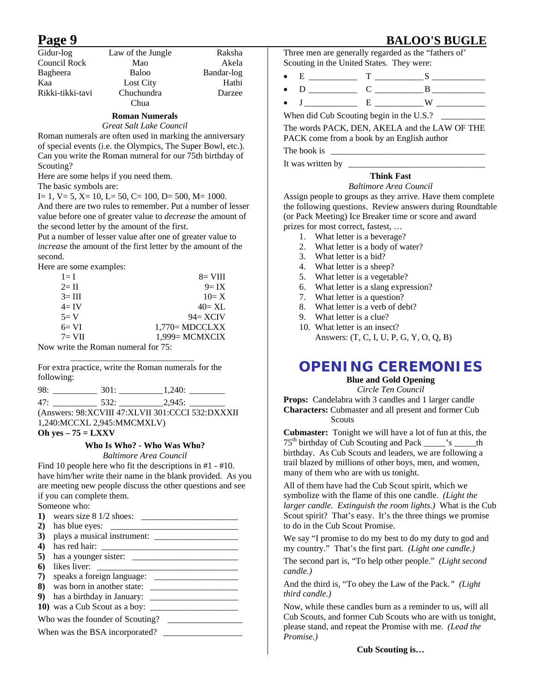## Page 9 **BALOO'S BUGLE**

| Gidur-log        | Law of the Jungle | Raksha     |
|------------------|-------------------|------------|
| Council Rock     | Mao               | Akela      |
| Bagheera         | Baloo             | Bandar-log |
| Kaa              | Lost City         | Hathi      |
| Rikki-tikki-tavi | Chuchundra        | Darzee     |
|                  | Chua              |            |

#### **Roman Numerals**

#### *Great Salt Lake Council*

Roman numerals are often used in marking the anniversary of special events (i.e. the Olympics, The Super Bowl, etc.). Can you write the Roman numeral for our 75th birthday of Scouting?

Here are some helps if you need them.

The basic symbols are:

 $I= 1$ ,  $V= 5$ ,  $X= 10$ ,  $L= 50$ ,  $C= 100$ ,  $D= 500$ ,  $M= 1000$ .

And there are two rules to remember. Put a number of lesser value before one of greater value to *decrease* the amount of the second letter by the amount of the first.

Put a number of lesser value after one of greater value to *increase* the amount of the first letter by the amount of the second.

Here are some examples:

| $1 = I$   | $8=$ VIII         |
|-----------|-------------------|
| $2=$ II   | $9=IX$            |
| $3=III$   | $10=X$            |
| $4=$ IV   | $40=XL$           |
| $5=V$     | $94 = XCIV$       |
| $6=VI$    | $1,770 = MDCCLXX$ |
| $7 = VII$ | $1.999 = MCMXCIX$ |
|           |                   |

Now write the Roman numeral for 75:

For extra practice, write the Roman numerals for the following:

| -<br>۔ | $\alpha$ c<br>. .<br>- |  |  |  |  |  |
|--------|------------------------|--|--|--|--|--|
|--------|------------------------|--|--|--|--|--|

 $\frac{1}{\sqrt{2}}$  ,  $\frac{1}{\sqrt{2}}$  ,  $\frac{1}{\sqrt{2}}$  ,  $\frac{1}{\sqrt{2}}$  ,  $\frac{1}{\sqrt{2}}$  ,  $\frac{1}{\sqrt{2}}$  ,  $\frac{1}{\sqrt{2}}$  ,  $\frac{1}{\sqrt{2}}$  ,  $\frac{1}{\sqrt{2}}$  ,  $\frac{1}{\sqrt{2}}$  ,  $\frac{1}{\sqrt{2}}$  ,  $\frac{1}{\sqrt{2}}$  ,  $\frac{1}{\sqrt{2}}$  ,  $\frac{1}{\sqrt{2}}$  ,  $\frac{1}{\sqrt{2}}$ 

47: \_\_\_\_\_\_\_\_\_\_ 532: \_\_\_\_\_\_\_\_\_\_2,945: \_\_\_\_\_\_\_\_

(Answers: 98:XCVIII 47:XLVII 301:CCCI 532:DXXXII 1,240:MCCXL 2,945:MMCMXLV)

**Oh yes – 75 = LXXV** 

#### **Who Is Who? - Who Was Who?**

*Baltimore Area Council* 

Find 10 people here who fit the descriptions in #1 - #10. have him/her write their name in the blank provided. As you are meeting new people discuss the other questions and see if you can complete them.

Someone who:

| 1)               | wears size 8 1/2 shoes:                                                       |
|------------------|-------------------------------------------------------------------------------|
| 2)               | has blue eyes:                                                                |
| 3)               | plays a musical instrument:                                                   |
| $\boldsymbol{4}$ | has red hair:                                                                 |
| 5)               |                                                                               |
| 6                | likes liver:                                                                  |
| 7)               | speaks a foreign language:                                                    |
| 8)               | was born in another state:<br><u> 1980 - Andrea Barbara, poeta esperanto-</u> |
| 9)               |                                                                               |
|                  |                                                                               |
|                  | Who was the founder of Scouting?                                              |
|                  | When was the BSA incorporated?                                                |

Three men are generally regarded as the "fathers of' Scouting in the United States. They were:

When did Cub Scouting begin in the U.S.?

The words PACK, DEN, AKELA and the LAW OF THE PACK come from a book by an English author

The book is

It was written by \_\_\_\_\_\_\_\_\_\_\_\_\_\_\_\_\_\_\_\_\_\_\_\_\_\_\_\_\_\_\_

### **Think Fast**

#### *Baltimore Area Council*

Assign people to groups as they arrive. Have them complete the following questions. Review answers during Roundtable (or Pack Meeting) Ice Breaker time or score and award prizes for most correct, fastest, …

1. What letter is a beverage?

- 2. What letter is a body of water?
- 3. What letter is a bid?
- 4. What letter is a sheep?
- 5. What letter is a vegetable?
- 6. What letter is a slang expression?
- 7. What letter is a question?
- 8. What letter is a verb of debt?
- 9. What letter is a clue?
- 10. What letter is an insect? Answers: (T, C, I, U, P, G, Y, O, Q, B)

## **OPENING CEREMONIES**

### **Blue and Gold Opening**

*Circle Ten Council* 

**Props:** Candelabra with 3 candles and 1 larger candle **Characters:** Cubmaster and all present and former Cub Scouts

**Cubmaster:** Tonight we will have a lot of fun at this, the  $75<sup>th</sup>$  birthday of Cub Scouting and Pack \_\_\_\_\_\_\_'s \_\_\_\_\_th birthday. As Cub Scouts and leaders, we are following a trail blazed by millions of other boys, men, and women, many of them who are with us tonight.

All of them have had the Cub Scout spirit, which we symbolize with the flame of this one candle. *(Light the larger candle. Extinguish the room lights.)* What is the Cub Scout spirit? That's easy. It's the three things we promise to do in the Cub Scout Promise.

We say "I promise to do my best to do my duty to god and my country." That's the first part*. (Light one candle.)*

The second part is, "To help other people." *(Light second candle.)* 

And the third is, "To obey the Law of the Pack*." (Light third candle.)*

Now, while these candles burn as a reminder to us, will all Cub Scouts, and former Cub Scouts who are with us tonight, please stand, and repeat the Promise with me. *(Lead the Promise.)*

**Cub Scouting is…**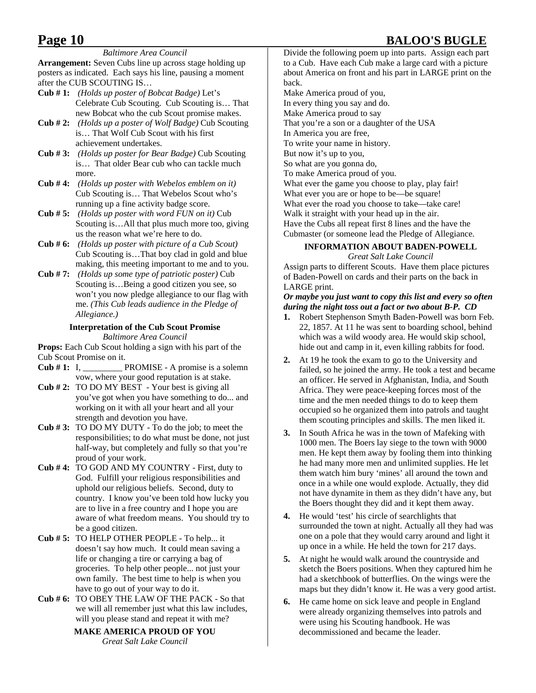## **Page 10** BALOO'S BUGLE

*Baltimore Area Council* 

**Arrangement:** Seven Cubs line up across stage holding up posters as indicated. Each says his line, pausing a moment after the CUB SCOUTING IS…

- **Cub # 1:** *(Holds up poster of Bobcat Badge)* Let's Celebrate Cub Scouting. Cub Scouting is… That new Bobcat who the cub Scout promise makes.
- **Cub # 2:** *(Holds up a poster of Wolf Badge)* Cub Scouting is… That Wolf Cub Scout with his first achievement undertakes.
- **Cub # 3:** *(Holds up poster for Bear Badge)* Cub Scouting is… That older Bear cub who can tackle much more.
- **Cub # 4:** *(Holds up poster with Webelos emblem on it)* Cub Scouting is… That Webelos Scout who's running up a fine activity badge score.
- **Cub # 5:** *(Holds up poster with word FUN on it)* Cub Scouting is…All that plus much more too, giving us the reason what we're here to do.
- **Cub # 6:** *(Holds up poster with picture of a Cub Scout)* Cub Scouting is…That boy clad in gold and blue making, this meeting important to me and to you.
- **Cub # 7:** *(Holds up some type of patriotic poster)* Cub Scouting is…Being a good citizen you see, so won't you now pledge allegiance to our flag with me. *(This Cub leads audience in the Pledge of Allegiance.)*

### **Interpretation of the Cub Scout Promise**

*Baltimore Area Council* 

**Props:** Each Cub Scout holding a sign with his part of the Cub Scout Promise on it.

- **Cub # 1:** I, PROMISE A promise is a solemn vow, where your good reputation is at stake.
- **Cub # 2:** TO DO MY BEST Your best is giving all you've got when you have something to do... and working on it with all your heart and all your strength and devotion you have.
- **Cub # 3:** TO DO MY DUTY To do the job; to meet the responsibilities; to do what must be done, not just half-way, but completely and fully so that you're proud of your work.
- **Cub # 4:** TO GOD AND MY COUNTRY First, duty to God. Fulfill your religious responsibilities and uphold our religious beliefs. Second, duty to country. I know you've been told how lucky you are to live in a free country and I hope you are aware of what freedom means. You should try to be a good citizen.
- **Cub # 5:** TO HELP OTHER PEOPLE To help... it doesn't say how much. It could mean saving a life or changing a tire or carrying a bag of groceries. To help other people... not just your own family. The best time to help is when you have to go out of your way to do it.
- **Cub # 6:** TO OBEY THE LAW OF THE PACK So that we will all remember just what this law includes, will you please stand and repeat it with me?

**MAKE AMERICA PROUD OF YOU**  *Great Salt Lake Council* 

Divide the following poem up into parts. Assign each part to a Cub. Have each Cub make a large card with a picture about America on front and his part in LARGE print on the back.

Make America proud of you,

In every thing you say and do.

Make America proud to say

That you're a son or a daughter of the USA

In America you are free,

To write your name in history.

But now it's up to you,

So what are you gonna do,

To make America proud of you.

What ever the game you choose to play, play fair! What ever you are or hope to be—be square! What ever the road you choose to take—take care! Walk it straight with your head up in the air. Have the Cubs all repeat first 8 lines and the have the Cubmaster (or someone lead the Pledge of Allegiance.

**INFORMATION ABOUT BADEN-POWELL** 

#### *Great Salt Lake Council*

Assign parts to different Scouts. Have them place pictures of Baden-Powell on cards and their parts on the back in LARGE print.

### *Or maybe you just want to copy this list and every so often during the night toss out a fact or two about B-P. CD*

- **1.** Robert Stephenson Smyth Baden-Powell was born Feb. 22, 1857. At 11 he was sent to boarding school, behind which was a wild woody area. He would skip school, hide out and camp in it, even killing rabbits for food.
- **2.** At 19 he took the exam to go to the University and failed, so he joined the army. He took a test and became an officer. He served in Afghanistan, India, and South Africa. They were peace-keeping forces most of the time and the men needed things to do to keep them occupied so he organized them into patrols and taught them scouting principles and skills. The men liked it.
- **3.** In South Africa he was in the town of Mafeking with 1000 men. The Boers lay siege to the town with 9000 men. He kept them away by fooling them into thinking he had many more men and unlimited supplies. He let them watch him bury 'mines' all around the town and once in a while one would explode. Actually, they did not have dynamite in them as they didn't have any, but the Boers thought they did and it kept them away.
- **4.** He would 'test' his circle of searchlights that surrounded the town at night. Actually all they had was one on a pole that they would carry around and light it up once in a while. He held the town for 217 days.
- **5.** At night he would walk around the countryside and sketch the Boers positions. When they captured him he had a sketchbook of butterflies. On the wings were the maps but they didn't know it. He was a very good artist.
- **6.** He came home on sick leave and people in England were already organizing themselves into patrols and were using his Scouting handbook. He was decommissioned and became the leader.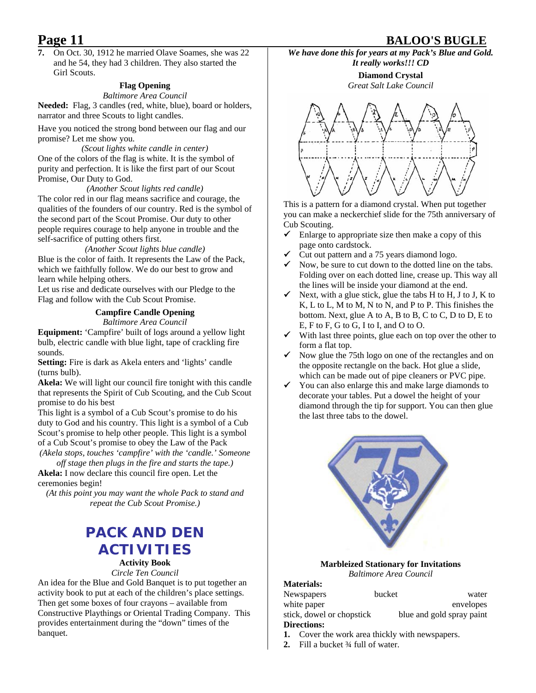**Page 11** BALOO'S BUGLE

**7.** On Oct. 30, 1912 he married Olave Soames, she was 22 and he 54, they had 3 children. They also started the Girl Scouts.

### **Flag Opening**

*Baltimore Area Council*  **Needed:** Flag, 3 candles (red, white, blue), board or holders, narrator and three Scouts to light candles.

Have you noticed the strong bond between our flag and our promise? Let me show you.

*(Scout lights white candle in center)* One of the colors of the flag is white. It is the symbol of purity and perfection. It is like the first part of our Scout Promise, Our Duty to God.

*(Another Scout lights red candle)*  The color red in our flag means sacrifice and courage, the qualities of the founders of our country. Red is the symbol of the second part of the Scout Promise. Our duty to other people requires courage to help anyone in trouble and the self-sacrifice of putting others first.

*(Another Scout lights blue candle)*  Blue is the color of faith. It represents the Law of the Pack, which we faithfully follow. We do our best to grow and learn while helping others.

Let us rise and dedicate ourselves with our Pledge to the Flag and follow with the Cub Scout Promise.

#### **Campfire Candle Opening**  *Baltimore Area Council*

**Equipment:** 'Campfire' built of logs around a yellow light bulb, electric candle with blue light, tape of crackling fire sounds.

**Setting:** Fire is dark as Akela enters and 'lights' candle (turns bulb).

**Akela:** We will light our council fire tonight with this candle that represents the Spirit of Cub Scouting, and the Cub Scout promise to do his best

This light is a symbol of a Cub Scout's promise to do his duty to God and his country. This light is a symbol of a Cub Scout's promise to help other people. This light is a symbol of a Cub Scout's promise to obey the Law of the Pack

*(Akela stops, touches 'campfire' with the 'candle.' Someone off stage then plugs in the fire and starts the tape.)*

**Akela:** I now declare this council fire open. Let the ceremonies begin!

*(At this point you may want the whole Pack to stand and repeat the Cub Scout Promise.)*

## **PACK AND DEN ACTIVITIES**

**Activity Book** *Circle Ten Council*

An idea for the Blue and Gold Banquet is to put together an activity book to put at each of the children's place settings. Then get some boxes of four crayons – available from Constructive Playthings or Oriental Trading Company. This provides entertainment during the "down" times of the banquet.

*We have done this for years at my Pack's Blue and Gold. It really works!!! CD* 

### **Diamond Crystal**

*Great Salt Lake Council* 



This is a pattern for a diamond crystal. When put together you can make a neckerchief slide for the 75th anniversary of Cub Scouting.

- $\checkmark$  Enlarge to appropriate size then make a copy of this page onto cardstock.
- Cut out pattern and a 75 years diamond logo.
- Now, be sure to cut down to the dotted line on the tabs. Folding over on each dotted line, crease up. This way all the lines will be inside your diamond at the end.
- $\checkmark$  Next, with a glue stick, glue the tabs H to H, J to J, K to K, L to L, M to M, N to N, and P to P. This finishes the bottom. Next, glue A to A, B to B, C to C, D to D, E to E, F to F, G to G, I to I, and O to O.
- $\checkmark$  With last three points, glue each on top over the other to form a flat top.
- Now glue the 75th logo on one of the rectangles and on the opposite rectangle on the back. Hot glue a slide, which can be made out of pipe cleaners or PVC pipe.
- $\checkmark$  You can also enlarge this and make large diamonds to decorate your tables. Put a dowel the height of your diamond through the tip for support. You can then glue the last three tabs to the dowel.



#### **Marbleized Stationary for Invitations**  *Baltimore Area Council*

**Materials:**

| <b>Newspapers</b>         | bucket | water                     |
|---------------------------|--------|---------------------------|
| white paper               |        | envelopes                 |
| stick, dowel or chopstick |        | blue and gold spray paint |
| <b>Directions:</b>        |        |                           |

- **1.** Cover the work area thickly with newspapers.
- **2.** Fill a bucket ¾ full of water.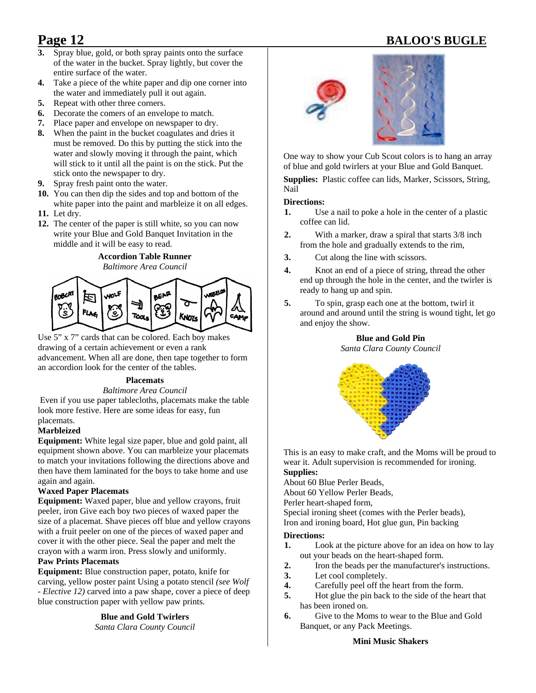## **Page 12 BALOO'S BUGLE**

- **3.** Spray blue, gold, or both spray paints onto the surface of the water in the bucket. Spray lightly, but cover the entire surface of the water.
- **4.** Take a piece of the white paper and dip one corner into the water and immediately pull it out again.
- **5.** Repeat with other three corners.
- **6.** Decorate the comers of an envelope to match.
- **7.** Place paper and envelope on newspaper to dry.
- **8.** When the paint in the bucket coagulates and dries it must be removed. Do this by putting the stick into the water and slowly moving it through the paint, which will stick to it until all the paint is on the stick. Put the stick onto the newspaper to dry.
- **9.** Spray fresh paint onto the water.
- **10.** You can then dip the sides and top and bottom of the white paper into the paint and marbleize it on all edges.
- **11.** Let dry.
- **12.** The center of the paper is still white, so you can now write your Blue and Gold Banquet Invitation in the middle and it will be easy to read.

**Accordion Table Runner** 

*Baltimore Area Council* 



Use 5" x 7" cards that can be colored. Each boy makes drawing of a certain achievement or even a rank advancement. When all are done, then tape together to form an accordion look for the center of the tables.

#### **Placemats**

#### *Baltimore Area Council*

 Even if you use paper tablecloths, placemats make the table look more festive. Here are some ideas for easy, fun placemats.

#### **Marbleized**

**Equipment:** White legal size paper, blue and gold paint, all equipment shown above. You can marbleize your placemats to match your invitations following the directions above and then have them laminated for the boys to take home and use again and again.

#### **Waxed Paper Placemats**

**Equipment:** Waxed paper, blue and yellow crayons, fruit peeler, iron Give each boy two pieces of waxed paper the size of a placemat. Shave pieces off blue and yellow crayons with a fruit peeler on one of the pieces of waxed paper and cover it with the other piece. Seal the paper and melt the crayon with a warm iron. Press slowly and uniformly.

#### **Paw Prints Placemats**

**Equipment:** Blue construction paper, potato, knife for carving, yellow poster paint Using a potato stencil *(see Wolf - Elective 12)* carved into a paw shape, cover a piece of deep blue construction paper with yellow paw prints.

#### **Blue and Gold Twirlers**

*Santa Clara County Council*





One way to show your Cub Scout colors is to hang an array of blue and gold twirlers at your Blue and Gold Banquet.

**Supplies:** Plastic coffee can lids, Marker, Scissors, String, Nail

#### **Directions:**

- **1.** Use a nail to poke a hole in the center of a plastic coffee can lid.
- **2.** With a marker, draw a spiral that starts 3/8 inch from the hole and gradually extends to the rim,
- **3.** Cut along the line with scissors.
- **4.** Knot an end of a piece of string, thread the other end up through the hole in the center, and the twirler is ready to hang up and spin.
- **5.** To spin, grasp each one at the bottom, twirl it around and around until the string is wound tight, let go and enjoy the show.

#### **Blue and Gold Pin**  *Santa Clara County Council*



This is an easy to make craft, and the Moms will be proud to wear it. Adult supervision is recommended for ironing. **Supplies:**

About 60 Blue Perler Beads,

About 60 Yellow Perler Beads,

Perler heart-shaped form,

Special ironing sheet (comes with the Perler beads),

Iron and ironing board, Hot glue gun, Pin backing

#### **Directions:**

- **1.** Look at the picture above for an idea on how to lay out your beads on the heart-shaped form.
- **2.** Iron the beads per the manufacturer's instructions.
- **3.** Let cool completely.
- **4.** Carefully peel off the heart from the form.
- **5.** Hot glue the pin back to the side of the heart that has been ironed on.
- **6.** Give to the Moms to wear to the Blue and Gold Banquet, or any Pack Meetings.

#### **Mini Music Shakers**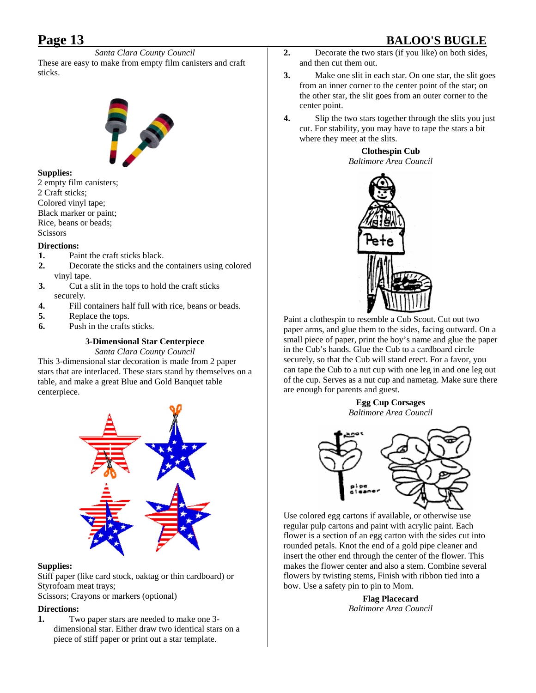## **Page 13** BALOO'S BUGLE

*Santa Clara County Council* These are easy to make from empty film canisters and craft sticks.



#### **Supplies:**

2 empty film canisters; 2 Craft sticks; Colored vinyl tape; Black marker or paint; Rice, beans or beads; **Scissors** 

#### **Directions:**

- **1.** Paint the craft sticks black.
- **2.** Decorate the sticks and the containers using colored vinyl tape.
- **3.** Cut a slit in the tops to hold the craft sticks securely.
- **4.** Fill containers half full with rice, beans or beads.
- **5.** Replace the tops.
- **6.** Push in the crafts sticks.

### **3-Dimensional Star Centerpiece**

*Santa Clara County Council*

This 3-dimensional star decoration is made from 2 paper stars that are interlaced. These stars stand by themselves on a table, and make a great Blue and Gold Banquet table centerpiece.



#### **Supplies:**

Stiff paper (like card stock, oaktag or thin cardboard) or Styrofoam meat trays;

Scissors; Crayons or markers (optional)

#### **Directions:**

**1.** Two paper stars are needed to make one 3 dimensional star. Either draw two identical stars on a piece of stiff paper or print out a star template.

- **2.** Decorate the two stars (if you like) on both sides, and then cut them out.
- **3.** Make one slit in each star. On one star, the slit goes from an inner corner to the center point of the star; on the other star, the slit goes from an outer corner to the center point.
- **4.** Slip the two stars together through the slits you just cut. For stability, you may have to tape the stars a bit where they meet at the slits.

**Clothespin Cub**  *Baltimore Area Council* 



Paint a clothespin to resemble a Cub Scout. Cut out two paper arms, and glue them to the sides, facing outward. On a small piece of paper, print the boy's name and glue the paper in the Cub's hands. Glue the Cub to a cardboard circle securely, so that the Cub will stand erect. For a favor, you can tape the Cub to a nut cup with one leg in and one leg out of the cup. Serves as a nut cup and nametag. Make sure there are enough for parents and guest.

> **Egg Cup Corsages**  *Baltimore Area Council*



Use colored egg cartons if available, or otherwise use regular pulp cartons and paint with acrylic paint. Each flower is a section of an egg carton with the sides cut into rounded petals. Knot the end of a gold pipe cleaner and insert the other end through the center of the flower. This makes the flower center and also a stem. Combine several flowers by twisting stems, Finish with ribbon tied into a bow. Use a safety pin to pin to Mom.

> **Flag Placecard**  *Baltimore Area Council*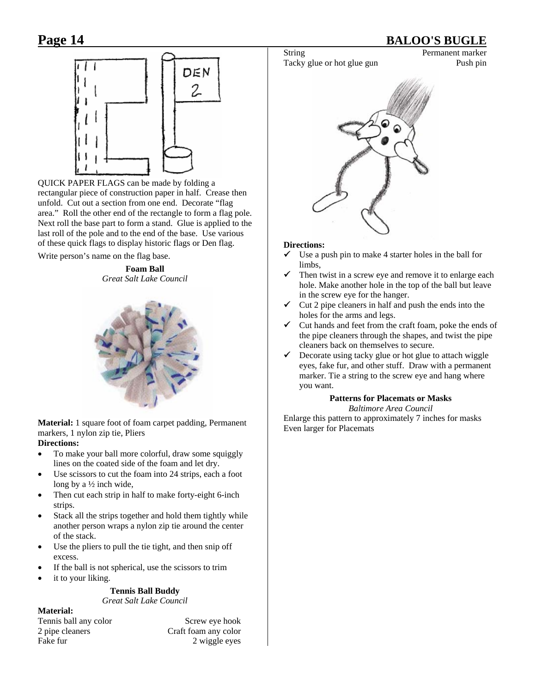## **Page 14** BALOO'S BUGLE



QUICK PAPER FLAGS can be made by folding a rectangular piece of construction paper in half. Crease then unfold. Cut out a section from one end. Decorate "flag area." Roll the other end of the rectangle to form a flag pole. Next roll the base part to form a stand. Glue is applied to the last roll of the pole and to the end of the base. Use various of these quick flags to display historic flags or Den flag.

Write person's name on the flag base.

**Foam Ball**  *Great Salt Lake Council* 



**Material:** 1 square foot of foam carpet padding, Permanent markers, 1 nylon zip tie, Pliers

### **Directions:**

- To make your ball more colorful, draw some squiggly lines on the coated side of the foam and let dry.
- Use scissors to cut the foam into 24 strips, each a foot long by a  $\frac{1}{2}$  inch wide,
- Then cut each strip in half to make forty-eight 6-inch strips.
- Stack all the strips together and hold them tightly while another person wraps a nylon zip tie around the center of the stack.
- Use the pliers to pull the tie tight, and then snip off excess.
- If the ball is not spherical, use the scissors to trim
- it to your liking.

#### **Tennis Ball Buddy**

*Great Salt Lake Council* 

#### **Material:**

Tennis ball any color Screw eye hook 2 pipe cleaners Craft foam any color Fake fur 2 wiggle eyes

Tacky glue or hot glue gun Push pin

String Permanent marker



#### **Directions:**

- $\checkmark$  Use a push pin to make 4 starter holes in the ball for limbs,
- Then twist in a screw eye and remove it to enlarge each hole. Make another hole in the top of the ball but leave in the screw eye for the hanger.
- $\checkmark$  Cut 2 pipe cleaners in half and push the ends into the holes for the arms and legs.
- $\checkmark$  Cut hands and feet from the craft foam, poke the ends of the pipe cleaners through the shapes, and twist the pipe cleaners back on themselves to secure.
- Decorate using tacky glue or hot glue to attach wiggle eyes, fake fur, and other stuff. Draw with a permanent marker. Tie a string to the screw eye and hang where you want.

#### **Patterns for Placemats or Masks**  *Baltimore Area Council*

Enlarge this pattern to approximately 7 inches for masks Even larger for Placemats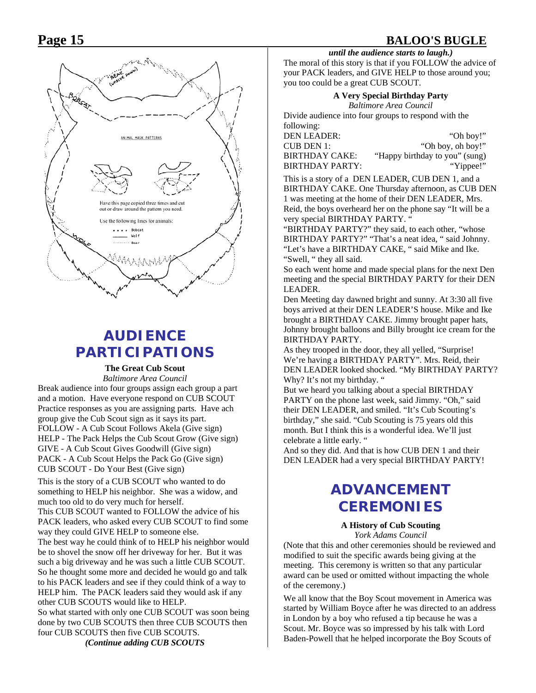## **Page 15** BALOO'S BUGLE



## **AUDIENCE PARTICIPATIONS**

## **The Great Cub Scout**

*Baltimore Area Council*  Break audience into four groups assign each group a part and a motion. Have everyone respond on CUB SCOUT Practice responses as you are assigning parts. Have ach group give the Cub Scout sign as it says its part. FOLLOW - A Cub Scout Follows Akela (Give sign) HELP - The Pack Helps the Cub Scout Grow (Give sign) GIVE - A Cub Scout Gives Goodwill (Give sign) PACK - A Cub Scout Helps the Pack Go (Give sign) CUB SCOUT - Do Your Best (Give sign)

This is the story of a CUB SCOUT who wanted to do something to HELP his neighbor. She was a widow, and much too old to do very much for herself.

This CUB SCOUT wanted to FOLLOW the advice of his PACK leaders, who asked every CUB SCOUT to find some way they could GIVE HELP to someone else.

The best way he could think of to HELP his neighbor would be to shovel the snow off her driveway for her. But it was such a big driveway and he was such a little CUB SCOUT. So he thought some more and decided he would go and talk to his PACK leaders and see if they could think of a way to HELP him. The PACK leaders said they would ask if any other CUB SCOUTS would like to HELP.

So what started with only one CUB SCOUT was soon being done by two CUB SCOUTS then three CUB SCOUTS then four CUB SCOUTS then five CUB SCOUTS.

*(Continue adding CUB SCOUTS* 

### *until the audience starts to laugh.)*

The moral of this story is that if you FOLLOW the advice of your PACK leaders, and GIVE HELP to those around you; you too could be a great CUB SCOUT.

#### **A Very Special Birthday Party**

*Baltimore Area Council* 

Divide audience into four groups to respond with the following:

| DEN LEADER:            | "Oh boy!"                      |
|------------------------|--------------------------------|
| CUB DEN 1:             | "Oh boy, oh boy!"              |
| BIRTHDAY CAKE:         | "Happy birthday to you" (sung) |
| <b>BIRTHDAY PARTY:</b> | "Yippee!"                      |

This is a story of a DEN LEADER, CUB DEN 1, and a BIRTHDAY CAKE. One Thursday afternoon, as CUB DEN 1 was meeting at the home of their DEN LEADER, Mrs. Reid, the boys overheard her on the phone say "It will be a

very special BIRTHDAY PARTY. "

"BIRTHDAY PARTY?" they said, to each other, "whose BIRTHDAY PARTY?" "That's a neat idea, " said Johnny. "Let's have a BIRTHDAY CAKE, " said Mike and Ike. "Swell, " they all said.

So each went home and made special plans for the next Den meeting and the special BIRTHDAY PARTY for their DEN LEADER.

Den Meeting day dawned bright and sunny. At 3:30 all five boys arrived at their DEN LEADER'S house. Mike and Ike brought a BIRTHDAY CAKE. Jimmy brought paper hats, Johnny brought balloons and Billy brought ice cream for the BIRTHDAY PARTY.

As they trooped in the door, they all yelled, "Surprise! We're having a BIRTHDAY PARTY". Mrs. Reid, their DEN LEADER looked shocked. "My BIRTHDAY PARTY? Why? It's not my birthday. "

But we heard you talking about a special BIRTHDAY PARTY on the phone last week, said Jimmy. "Oh," said their DEN LEADER, and smiled. "It's Cub Scouting's birthday," she said. "Cub Scouting is 75 years old this month. But I think this is a wonderful idea. We'll just celebrate a little early. "

And so they did. And that is how CUB DEN 1 and their DEN LEADER had a very special BIRTHDAY PARTY!

## **ADVANCEMENT CEREMONIES**

#### **A History of Cub Scouting**

*York Adams Council* 

(Note that this and other ceremonies should be reviewed and modified to suit the specific awards being giving at the meeting. This ceremony is written so that any particular award can be used or omitted without impacting the whole of the ceremony.)

We all know that the Boy Scout movement in America was started by William Boyce after he was directed to an address in London by a boy who refused a tip because he was a Scout. Mr. Boyce was so impressed by his talk with Lord Baden-Powell that he helped incorporate the Boy Scouts of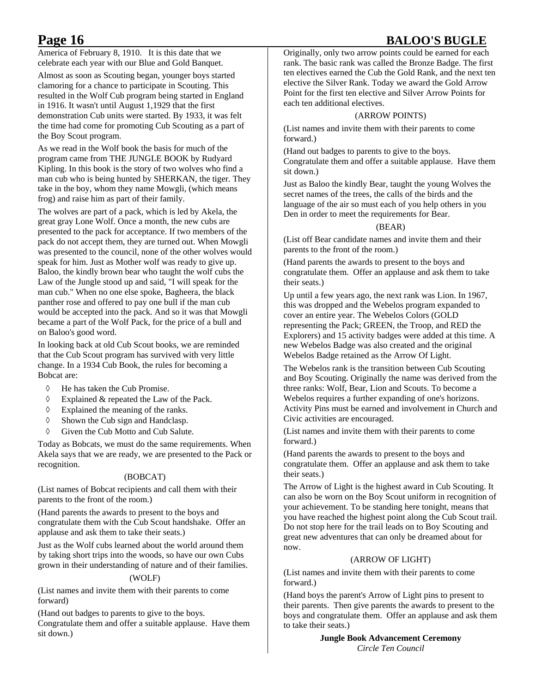## **Page 16** BALOO'S BUGLE

America of February 8, 1910. It is this date that we celebrate each year with our Blue and Gold Banquet.

Almost as soon as Scouting began, younger boys started clamoring for a chance to participate in Scouting. This resulted in the Wolf Cub program being started in England in 1916. It wasn't until August 1,1929 that the first demonstration Cub units were started. By 1933, it was felt the time had come for promoting Cub Scouting as a part of the Boy Scout program.

As we read in the Wolf book the basis for much of the program came from THE JUNGLE BOOK by Rudyard Kipling. In this book is the story of two wolves who find a man cub who is being hunted by SHERKAN, the tiger. They take in the boy, whom they name Mowgli, (which means frog) and raise him as part of their family.

The wolves are part of a pack, which is led by Akela, the great gray Lone Wolf. Once a month, the new cubs are presented to the pack for acceptance. If two members of the pack do not accept them, they are turned out. When Mowgli was presented to the council, none of the other wolves would speak for him. Just as Mother wolf was ready to give up. Baloo, the kindly brown bear who taught the wolf cubs the Law of the Jungle stood up and said, "I will speak for the man cub." When no one else spoke, Bagheera, the black panther rose and offered to pay one bull if the man cub would be accepted into the pack. And so it was that Mowgli became a part of the Wolf Pack, for the price of a bull and on Baloo's good word.

In looking back at old Cub Scout books, we are reminded that the Cub Scout program has survived with very little change. In a 1934 Cub Book, the rules for becoming a Bobcat are:

- ◊ He has taken the Cub Promise.
- $\Diamond$  Explained & repeated the Law of the Pack.
- ◊ Explained the meaning of the ranks.
- ◊ Shown the Cub sign and Handclasp.
- ◊ Given the Cub Motto and Cub Salute.

Today as Bobcats, we must do the same requirements. When Akela says that we are ready, we are presented to the Pack or recognition.

#### (BOBCAT)

(List names of Bobcat recipients and call them with their parents to the front of the room.)

(Hand parents the awards to present to the boys and congratulate them with the Cub Scout handshake. Offer an applause and ask them to take their seats.)

Just as the Wolf cubs learned about the world around them by taking short trips into the woods, so have our own Cubs grown in their understanding of nature and of their families.

#### (WOLF)

(List names and invite them with their parents to come forward)

(Hand out badges to parents to give to the boys. Congratulate them and offer a suitable applause. Have them sit down.)

Originally, only two arrow points could be earned for each rank. The basic rank was called the Bronze Badge. The first ten electives earned the Cub the Gold Rank, and the next ten elective the Silver Rank. Today we award the Gold Arrow Point for the first ten elective and Silver Arrow Points for each ten additional electives.

#### (ARROW POINTS)

(List names and invite them with their parents to come forward.)

(Hand out badges to parents to give to the boys. Congratulate them and offer a suitable applause. Have them sit down.)

Just as Baloo the kindly Bear, taught the young Wolves the secret names of the trees, the calls of the birds and the language of the air so must each of you help others in you Den in order to meet the requirements for Bear.

#### (BEAR)

(List off Bear candidate names and invite them and their parents to the front of the room.)

(Hand parents the awards to present to the boys and congratulate them. Offer an applause and ask them to take their seats.)

Up until a few years ago, the next rank was Lion. In 1967, this was dropped and the Webelos program expanded to cover an entire year. The Webelos Colors (GOLD representing the Pack; GREEN, the Troop, and RED the Explorers) and 15 activity badges were added at this time. A new Webelos Badge was also created and the original Webelos Badge retained as the Arrow Of Light.

The Webelos rank is the transition between Cub Scouting and Boy Scouting. Originally the name was derived from the three ranks: Wolf, Bear, Lion and Scouts. To become a Webelos requires a further expanding of one's horizons. Activity Pins must be earned and involvement in Church and Civic activities are encouraged.

(List names and invite them with their parents to come forward.)

(Hand parents the awards to present to the boys and congratulate them. Offer an applause and ask them to take their seats.)

The Arrow of Light is the highest award in Cub Scouting. It can also be worn on the Boy Scout uniform in recognition of your achievement. To be standing here tonight, means that you have reached the highest point along the Cub Scout trail. Do not stop here for the trail leads on to Boy Scouting and great new adventures that can only be dreamed about for now.

#### (ARROW OF LIGHT)

(List names and invite them with their parents to come forward.)

(Hand boys the parent's Arrow of Light pins to present to their parents. Then give parents the awards to present to the boys and congratulate them. Offer an applause and ask them to take their seats.)

> **Jungle Book Advancement Ceremony** *Circle Ten Council*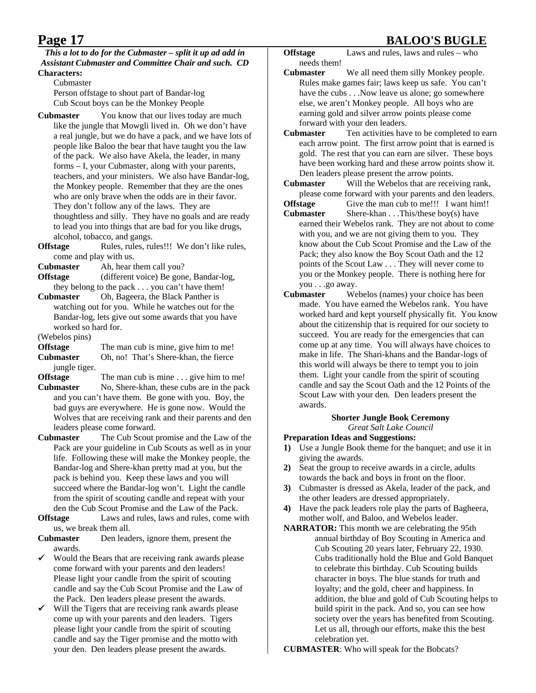*This a lot to do for the Cubmaster – split it up ad add in Assistant Cubmaster and Committee Chair and such. CD*  **Characters:** 

 Cubmaster Person offstage to shout part of Bandar-log Cub Scout boys can be the Monkey People

- **Cubmaster** You know that our lives today are much like the jungle that Mowgli lived in. Oh we don't have a real jungle, but we do have a pack, and we have lots of people like Baloo the bear that have taught you the law of the pack. We also have Akela, the leader, in many forms – I, your Cubmaster, along with your parents, teachers, and your ministers. We also have Bandar-log, the Monkey people. Remember that they are the ones who are only brave when the odds are in their favor. They don't follow any of the laws. They are thoughtless and silly. They have no goals and are ready to lead you into things that are bad for you like drugs, alcohol, tobacco, and gangs.
- **Offstage** Rules, rules, rules!!! We don't like rules, come and play with us.

**Cubmaster** Ah, hear them call you?

- **Offstage** (different voice) Be gone, Bandar-log, they belong to the pack . . . you can't have them!
- **Cubmaster** Oh, Bageera, the Black Panther is watching out for you. While he watches out for the Bandar-log, lets give out some awards that you have worked so hard for.
- (Webelos pins)
- **Offstage** The man cub is mine, give him to me!

**Cubmaster** Oh, no! That's Shere-khan, the fierce jungle tiger.

**Offstage** The man cub is mine . . . give him to me!

**Cubmaster** No, Shere-khan, these cubs are in the pack and you can't have them. Be gone with you. Boy, the bad guys are everywhere. He is gone now. Would the Wolves that are receiving rank and their parents and den leaders please come forward.

**Cubmaster** The Cub Scout promise and the Law of the Pack are your guideline in Cub Scouts as well as in your life. Following these will make the Monkey people, the Bandar-log and Shere-khan pretty mad at you, but the pack is behind you. Keep these laws and you will succeed where the Bandar-log won't. Light the candle from the spirit of scouting candle and repeat with your den the Cub Scout Promise and the Law of the Pack.

**Offstage** Laws and rules, laws and rules, come with us, we break them all.

**Cubmaster** Den leaders, ignore them, present the awards.

- $\checkmark$  Would the Bears that are receiving rank awards please come forward with your parents and den leaders! Please light your candle from the spirit of scouting candle and say the Cub Scout Promise and the Law of the Pack. Den leaders please present the awards.
- Will the Tigers that are receiving rank awards please come up with your parents and den leaders. Tigers please light your candle from the spirit of scouting candle and say the Tiger promise and the motto with your den. Den leaders please present the awards.

**Offstage** Laws and rules, laws and rules – who needs them!

- **Cubmaster** We all need them silly Monkey people. Rules make games fair; laws keep us safe. You can't have the cubs  $\dots$  Now leave us alone; go somewhere else, we aren't Monkey people. All boys who are earning gold and silver arrow points please come forward with your den leaders.
- **Cubmaster** Ten activities have to be completed to earn each arrow point. The first arrow point that is earned is gold. The rest that you can earn are silver. These boys have been working hard and these arrow points show it. Den leaders please present the arrow points.

**Cubmaster** Will the Webelos that are receiving rank, please come forward with your parents and den leaders.

- **Offstage** Give the man cub to me!!! I want him!! **Cubmaster** Shere-khan . . .This/these boy(s) have earned their Webelos rank. They are not about to come with you, and we are not giving them to you. They know about the Cub Scout Promise and the Law of the Pack; they also know the Boy Scout Oath and the 12 points of the Scout Law . . . They will never come to you or the Monkey people. There is nothing here for you . . .go away.
- **Cubmaster** Webelos (names) your choice has been made. You have earned the Webelos rank. You have worked hard and kept yourself physically fit. You know about the citizenship that is required for our society to succeed. You are ready for the emergencies that can come up at any time. You will always have choices to make in life. The Shari-khans and the Bandar-logs of this world will always be there to tempt you to join them. Light your candle from the spirit of scouting candle and say the Scout Oath and the 12 Points of the Scout Law with your den. Den leaders present the awards.

**Shorter Jungle Book Ceremony**  *Great Salt Lake Council* 

#### **Preparation Ideas and Suggestions:**

- **1)** Use a Jungle Book theme for the banquet; and use it in giving the awards.
- **2)** Seat the group to receive awards in a circle, adults towards the back and boys in front on the floor.
- **3)** Cubmaster is dressed as Akela, leader of the pack, and the other leaders are dressed appropriately.
- **4)** Have the pack leaders role play the parts of Bagheera, mother wolf, and Baloo, and Webelos leader.
- **NARRATOR:** This month we are celebrating the 95th annual birthday of Boy Scouting in America and Cub Scouting 20 years later, February 22, 1930. Cubs traditionally hold the Blue and Gold Banquet to celebrate this birthday. Cub Scouting builds character in boys. The blue stands for truth and loyalty; and the gold, cheer and happiness. In addition, the blue and gold of Cub Scouting helps to build spirit in the pack. And so, you can see how society over the years has benefited from Scouting. Let us all, through our efforts, make this the best celebration yet.

**CUBMASTER**: Who will speak for the Bobcats?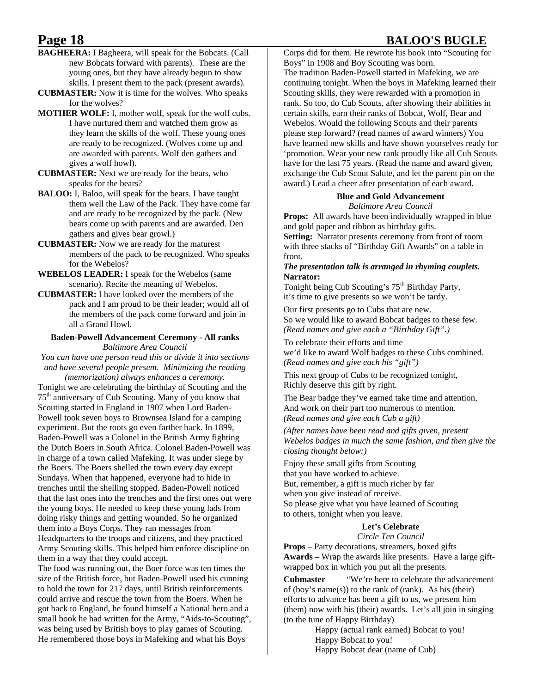## **Page 18** BALOO'S BUGLE

**BAGHEERA:** I Bagheera, will speak for the Bobcats. (Call new Bobcats forward with parents). These are the young ones, but they have already begun to show skills. I present them to the pack (present awards).

**CUBMASTER:** Now it is time for the wolves. Who speaks for the wolves?

**MOTHER WOLF:** I, mother wolf, speak for the wolf cubs. I have nurtured them and watched them grow as they learn the skills of the wolf. These young ones are ready to be recognized. (Wolves come up and are awarded with parents. Wolf den gathers and gives a wolf howl).

- **CUBMASTER:** Next we are ready for the bears, who speaks for the bears?
- **BALOO:** I, Baloo, will speak for the bears. I have taught them well the Law of the Pack. They have come far and are ready to be recognized by the pack. (New bears come up with parents and are awarded. Den gathers and gives bear growl.)
- **CUBMASTER:** Now we are ready for the maturest members of the pack to be recognized. Who speaks for the Webelos?
- **WEBELOS LEADER:** I speak for the Webelos (same scenario). Recite the meaning of Webelos.
- **CUBMASTER:** I have looked over the members of the pack and I am proud to be their leader; would all of the members of the pack come forward and join in all a Grand Howl.

#### **Baden-Powell Advancement Ceremony - All ranks**  *Baltimore Area Council*

*You can have one person read this or divide it into sections and have several people present. Minimizing the reading (memorization) always enhances a ceremony.* 

Tonight we are celebrating the birthday of Scouting and the 75th anniversary of Cub Scouting. Many of you know that Scouting started in England in 1907 when Lord Baden-Powell took seven boys to Brownsea Island for a camping experiment. But the roots go even farther back. In 1899, Baden-Powell was a Colonel in the British Army fighting the Dutch Boers in South Africa. Colonel Baden-Powell was in charge of a town called Mafeking. It was under siege by the Boers. The Boers shelled the town every day except Sundays. When that happened, everyone had to hide in trenches until the shelling stopped. Baden-Powell noticed that the last ones into the trenches and the first ones out were the young boys. He needed to keep these young lads from doing risky things and getting wounded. So he organized them into a Boys Corps. They ran messages from Headquarters to the troops and citizens, and they practiced Army Scouting skills. This helped him enforce discipline on them in a way that they could accept.

The food was running out, the Boer force was ten times the size of the British force, but Baden-Powell used his cunning to hold the town for 217 days, until British reinforcements could arrive and rescue the town from the Boers. When he got back to England, he found himself a National hero and a small book he had written for the Army, "Aids-to-Scouting", was being used by British boys to play games of Scouting. He remembered those boys in Mafeking and what his Boys

Corps did for them. He rewrote his book into "Scouting for Boys" in 1908 and Boy Scouting was born. The tradition Baden-Powell started in Mafeking, we are continuing tonight. When the boys in Mafeking learned their Scouting skills, they were rewarded with a promotion in rank. So too, do Cub Scouts, after showing their abilities in certain skills, earn their ranks of Bobcat, Wolf, Bear and Webelos. Would the following Scouts and their parents please step forward? (read names of award winners) You have learned new skills and have shown yourselves ready for 'promotion. Wear your new rank proudly like all Cub Scouts have for the last 75 years. (Read the name and award given, exchange the Cub Scout Salute, and let the parent pin on the award.) Lead a cheer after presentation of each award.

#### **Blue and Gold Advancement**  *Baltimore Area Council*

**Props:** All awards have been individually wrapped in blue and gold paper and ribbon as birthday gifts.

**Setting:** Narrator presents ceremony from front of room with three stacks of "Birthday Gift Awards" on a table in front.

#### *The presentation talk is arranged in rhyming couplets.*  **Narrator:**

Tonight being Cub Scouting's 75<sup>th</sup> Birthday Party, it's time to give presents so we won't be tardy.

Our first presents go to Cubs that are new. So we would like to award Bobcat badges to these few. *(Read names and give each a "Birthday Gift".)*

To celebrate their efforts and time

we'd like to award Wolf badges to these Cubs combined. *(Read names and give each his "gift")*

This next group of Cubs to be recognized tonight, Richly deserve this gift by right.

The Bear badge they've earned take time and attention, And work on their part too numerous to mention. *(Read names and give each Cub a gift)*

*(After names have been read and gifts given, present Webelos badges in much the same fashion, and then give the closing thought below:)* 

Enjoy these small gifts from Scouting that you have worked to achieve. But, remember, a gift is much richer by far when you give instead of receive. So please give what you have learned of Scouting to others, tonight when you leave.

#### **Let's Celebrate**

*Circle Ten Council* 

**Props** – Party decorations, streamers, boxed gifts **Awards** – Wrap the awards like presents. Have a large giftwrapped box in which you put all the presents.

**Cubmaster** "We're here to celebrate the advancement of (boy's name(s)) to the rank of (rank). As his (their) efforts to advance has been a gift to us, we present him (them) now with his (their) awards. Let's all join in singing (to the tune of Happy Birthday)

 Happy (actual rank earned) Bobcat to you! Happy Bobcat to you! Happy Bobcat dear (name of Cub)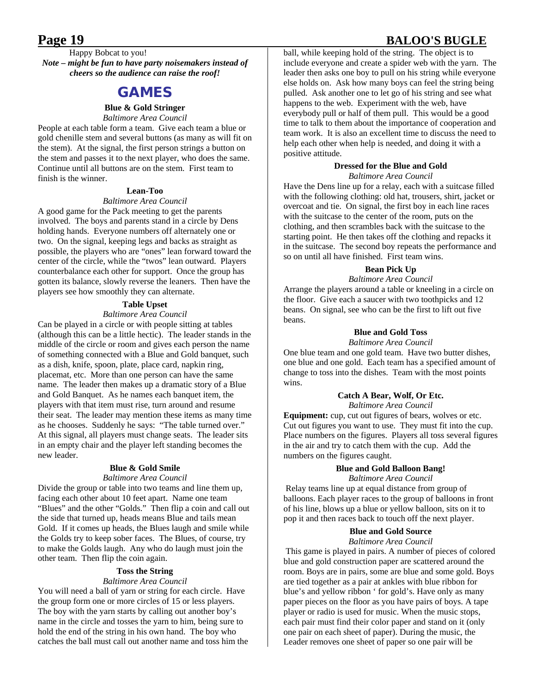Happy Bobcat to you! *Note – might be fun to have party noisemakers instead of cheers so the audience can raise the roof!* 

## **GAMES**

#### **Blue & Gold Stringer**

#### *Baltimore Area Council*

People at each table form a team. Give each team a blue or gold chenille stem and several buttons (as many as will fit on the stem). At the signal, the first person strings a button on the stem and passes it to the next player, who does the same. Continue until all buttons are on the stem. First team to finish is the winner.

#### **Lean-Too**

#### *Baltimore Area Council*

A good game for the Pack meeting to get the parents involved. The boys and parents stand in a circle by Dens holding hands. Everyone numbers off alternately one or two. On the signal, keeping legs and backs as straight as possible, the players who are "ones" lean forward toward the center of the circle, while the "twos" lean outward. Players counterbalance each other for support. Once the group has gotten its balance, slowly reverse the leaners. Then have the players see how smoothly they can alternate.

#### **Table Upset**

#### *Baltimore Area Council*

Can be played in a circle or with people sitting at tables (although this can be a little hectic). The leader stands in the middle of the circle or room and gives each person the name of something connected with a Blue and Gold banquet, such as a dish, knife, spoon, plate, place card, napkin ring, placemat, etc. More than one person can have the same name. The leader then makes up a dramatic story of a Blue and Gold Banquet. As he names each banquet item, the players with that item must rise, turn around and resume their seat. The leader may mention these items as many time as he chooses. Suddenly he says: "The table turned over." At this signal, all players must change seats. The leader sits in an empty chair and the player left standing becomes the new leader.

#### **Blue & Gold Smile**

#### *Baltimore Area Council*

Divide the group or table into two teams and line them up, facing each other about 10 feet apart. Name one team "Blues" and the other "Golds." Then flip a coin and call out the side that turned up, heads means Blue and tails mean Gold. If it comes up heads, the Blues laugh and smile while the Golds try to keep sober faces. The Blues, of course, try to make the Golds laugh. Any who do laugh must join the other team. Then flip the coin again.

#### **Toss the String**

#### *Baltimore Area Council*

You will need a ball of yarn or string for each circle. Have the group form one or more circles of 15 or less players. The boy with the yarn starts by calling out another boy's name in the circle and tosses the yarn to him, being sure to hold the end of the string in his own hand. The boy who catches the ball must call out another name and toss him the

**Page 19** BALOO'S BUGLE

ball, while keeping hold of the string. The object is to include everyone and create a spider web with the yarn. The leader then asks one boy to pull on his string while everyone else holds on. Ask how many boys can feel the string being pulled. Ask another one to let go of his string and see what happens to the web. Experiment with the web, have everybody pull or half of them pull. This would be a good time to talk to them about the importance of cooperation and team work. It is also an excellent time to discuss the need to help each other when help is needed, and doing it with a positive attitude.

#### **Dressed for the Blue and Gold**

#### *Baltimore Area Council*

Have the Dens line up for a relay, each with a suitcase filled with the following clothing: old hat, trousers, shirt, jacket or overcoat and tie. On signal, the first boy in each line races with the suitcase to the center of the room, puts on the clothing, and then scrambles back with the suitcase to the starting point. He then takes off the clothing and repacks it in the suitcase. The second boy repeats the performance and so on until all have finished. First team wins.

#### **Bean Pick Up**

*Baltimore Area Council*  Arrange the players around a table or kneeling in a circle on the floor. Give each a saucer with two toothpicks and 12 beans. On signal, see who can be the first to lift out five beans.

#### **Blue and Gold Toss**

#### *Baltimore Area Council*

One blue team and one gold team. Have two butter dishes, one blue and one gold. Each team has a specified amount of change to toss into the dishes. Team with the most points wins.

### **Catch A Bear, Wolf, Or Etc.**

*Baltimore Area Council* 

**Equipment:** cup, cut out figures of bears, wolves or etc. Cut out figures you want to use. They must fit into the cup. Place numbers on the figures. Players all toss several figures in the air and try to catch them with the cup. Add the numbers on the figures caught.

#### **Blue and Gold Balloon Bang!**  *Baltimore Area Council*

 Relay teams line up at equal distance from group of balloons. Each player races to the group of balloons in front of his line, blows up a blue or yellow balloon, sits on it to pop it and then races back to touch off the next player.

#### **Blue and Gold Source**  *Baltimore Area Council*

 This game is played in pairs. A number of pieces of colored blue and gold construction paper are scattered around the room. Boys are in pairs, some are blue and some gold. Boys are tied together as a pair at ankles with blue ribbon for blue's and yellow ribbon ' for gold's. Have only as many paper pieces on the floor as you have pairs of boys. A tape player or radio is used for music. When the music stops, each pair must find their color paper and stand on it (only one pair on each sheet of paper). During the music, the Leader removes one sheet of paper so one pair will be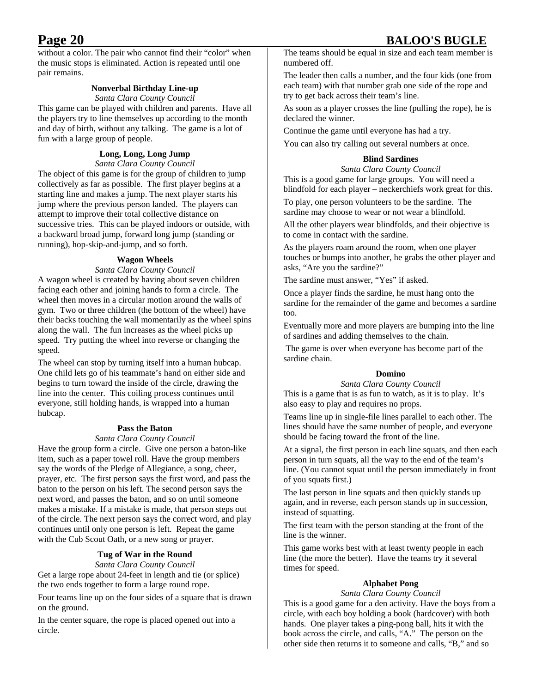## **Page 20** BALOO'S BUGLE

without a color. The pair who cannot find their "color" when the music stops is eliminated. Action is repeated until one pair remains.

### **Nonverbal Birthday Line-up**

*Santa Clara County Council* 

This game can be played with children and parents. Have all the players try to line themselves up according to the month and day of birth, without any talking. The game is a lot of fun with a large group of people.

### **Long, Long, Long Jump**

*Santa Clara County Council* 

The object of this game is for the group of children to jump collectively as far as possible. The first player begins at a starting line and makes a jump. The next player starts his jump where the previous person landed. The players can attempt to improve their total collective distance on successive tries. This can be played indoors or outside, with a backward broad jump, forward long jump (standing or running), hop-skip-and-jump, and so forth.

#### **Wagon Wheels**

#### *Santa Clara County Council*

A wagon wheel is created by having about seven children facing each other and joining hands to form a circle. The wheel then moves in a circular motion around the walls of gym. Two or three children (the bottom of the wheel) have their backs touching the wall momentarily as the wheel spins along the wall. The fun increases as the wheel picks up speed. Try putting the wheel into reverse or changing the speed.

The wheel can stop by turning itself into a human hubcap. One child lets go of his teammate's hand on either side and begins to turn toward the inside of the circle, drawing the line into the center. This coiling process continues until everyone, still holding hands, is wrapped into a human hubcap.

#### **Pass the Baton**

#### *Santa Clara County Council*

Have the group form a circle. Give one person a baton-like item, such as a paper towel roll. Have the group members say the words of the Pledge of Allegiance, a song, cheer, prayer, etc. The first person says the first word, and pass the baton to the person on his left. The second person says the next word, and passes the baton, and so on until someone makes a mistake. If a mistake is made, that person steps out of the circle. The next person says the correct word, and play continues until only one person is left. Repeat the game with the Cub Scout Oath, or a new song or prayer.

#### **Tug of War in the Round**

*Santa Clara County Council*  Get a large rope about 24-feet in length and tie (or splice) the two ends together to form a large round rope.

Four teams line up on the four sides of a square that is drawn on the ground.

In the center square, the rope is placed opened out into a circle.

The teams should be equal in size and each team member is numbered off.

The leader then calls a number, and the four kids (one from each team) with that number grab one side of the rope and try to get back across their team's line.

As soon as a player crosses the line (pulling the rope), he is declared the winner.

Continue the game until everyone has had a try.

You can also try calling out several numbers at once.

#### **Blind Sardines**

#### *Santa Clara County Council*

This is a good game for large groups. You will need a blindfold for each player – neckerchiefs work great for this.

To play, one person volunteers to be the sardine. The sardine may choose to wear or not wear a blindfold.

All the other players wear blindfolds, and their objective is to come in contact with the sardine.

As the players roam around the room, when one player touches or bumps into another, he grabs the other player and asks, "Are you the sardine?"

The sardine must answer, "Yes" if asked.

Once a player finds the sardine, he must hang onto the sardine for the remainder of the game and becomes a sardine too.

Eventually more and more players are bumping into the line of sardines and adding themselves to the chain.

 The game is over when everyone has become part of the sardine chain.

#### **Domino**

#### *Santa Clara County Council*

This is a game that is as fun to watch, as it is to play. It's also easy to play and requires no props.

Teams line up in single-file lines parallel to each other. The lines should have the same number of people, and everyone should be facing toward the front of the line.

At a signal, the first person in each line squats, and then each person in turn squats, all the way to the end of the team's line. (You cannot squat until the person immediately in front of you squats first.)

The last person in line squats and then quickly stands up again, and in reverse, each person stands up in succession, instead of squatting.

The first team with the person standing at the front of the line is the winner.

This game works best with at least twenty people in each line (the more the better). Have the teams try it several times for speed.

#### **Alphabet Pong**

*Santa Clara County Council* 

This is a good game for a den activity. Have the boys from a circle, with each boy holding a book (hardcover) with both hands. One player takes a ping-pong ball, hits it with the book across the circle, and calls, "A." The person on the other side then returns it to someone and calls, "B," and so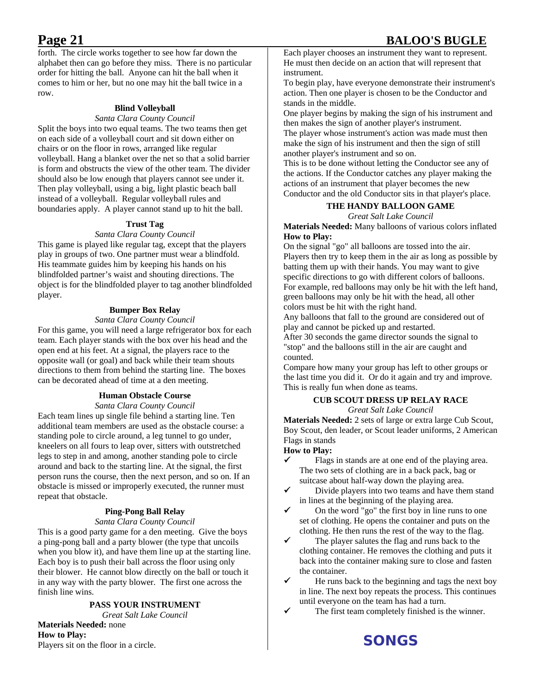## **Page 21** BALOO'S BUGLE

forth. The circle works together to see how far down the alphabet then can go before they miss. There is no particular order for hitting the ball. Anyone can hit the ball when it comes to him or her, but no one may hit the ball twice in a row.

#### **Blind Volleyball**

#### *Santa Clara County Council*

Split the boys into two equal teams. The two teams then get on each side of a volleyball court and sit down either on chairs or on the floor in rows, arranged like regular volleyball. Hang a blanket over the net so that a solid barrier is form and obstructs the view of the other team. The divider should also be low enough that players cannot see under it. Then play volleyball, using a big, light plastic beach ball instead of a volleyball. Regular volleyball rules and boundaries apply. A player cannot stand up to hit the ball.

#### **Trust Tag**

#### *Santa Clara County Council*

This game is played like regular tag, except that the players play in groups of two. One partner must wear a blindfold. His teammate guides him by keeping his hands on his blindfolded partner's waist and shouting directions. The object is for the blindfolded player to tag another blindfolded player.

#### **Bumper Box Relay**

#### *Santa Clara County Council*

For this game, you will need a large refrigerator box for each team. Each player stands with the box over his head and the open end at his feet. At a signal, the players race to the opposite wall (or goal) and back while their team shouts directions to them from behind the starting line. The boxes can be decorated ahead of time at a den meeting.

#### **Human Obstacle Course**

#### *Santa Clara County Council*

Each team lines up single file behind a starting line. Ten additional team members are used as the obstacle course: a standing pole to circle around, a leg tunnel to go under, kneelers on all fours to leap over, sitters with outstretched legs to step in and among, another standing pole to circle around and back to the starting line. At the signal, the first person runs the course, then the next person, and so on. If an obstacle is missed or improperly executed, the runner must repeat that obstacle.

#### **Ping-Pong Ball Relay**

#### *Santa Clara County Council*

This is a good party game for a den meeting. Give the boys a ping-pong ball and a party blower (the type that uncoils when you blow it), and have them line up at the starting line. Each boy is to push their ball across the floor using only their blower. He cannot blow directly on the ball or touch it in any way with the party blower. The first one across the finish line wins.

#### **PASS YOUR INSTRUMENT**

*Great Salt Lake Council* 

**Materials Needed:** none **How to Play:**  Players sit on the floor in a circle. Each player chooses an instrument they want to represent. He must then decide on an action that will represent that instrument.

To begin play, have everyone demonstrate their instrument's action. Then one player is chosen to be the Conductor and stands in the middle.

One player begins by making the sign of his instrument and then makes the sign of another player's instrument. The player whose instrument's action was made must then

make the sign of his instrument and then the sign of still another player's instrument and so on.

This is to be done without letting the Conductor see any of the actions. If the Conductor catches any player making the actions of an instrument that player becomes the new Conductor and the old Conductor sits in that player's place.

#### **THE HANDY BALLOON GAME**

*Great Salt Lake Council* 

**Materials Needed:** Many balloons of various colors inflated **How to Play:** 

On the signal "go" all balloons are tossed into the air. Players then try to keep them in the air as long as possible by batting them up with their hands. You may want to give specific directions to go with different colors of balloons. For example, red balloons may only be hit with the left hand, green balloons may only be hit with the head, all other colors must be hit with the right hand.

Any balloons that fall to the ground are considered out of play and cannot be picked up and restarted.

After 30 seconds the game director sounds the signal to "stop" and the balloons still in the air are caught and counted.

Compare how many your group has left to other groups or the last time you did it. Or do it again and try and improve. This is really fun when done as teams.

#### **CUB SCOUT DRESS UP RELAY RACE**  *Great Salt Lake Council*

**Materials Needed:** 2 sets of large or extra large Cub Scout, Boy Scout, den leader, or Scout leader uniforms, 2 American Flags in stands

#### **How to Play:**

- Flags in stands are at one end of the playing area. The two sets of clothing are in a back pack, bag or suitcase about half-way down the playing area.
- Divide players into two teams and have them stand in lines at the beginning of the playing area.
- $\checkmark$  On the word "go" the first boy in line runs to one set of clothing. He opens the container and puts on the clothing. He then runs the rest of the way to the flag.
- $\checkmark$  The player salutes the flag and runs back to the clothing container. He removes the clothing and puts it back into the container making sure to close and fasten the container.

He runs back to the beginning and tags the next boy in line. The next boy repeats the process. This continues until everyone on the team has had a turn.

The first team completely finished is the winner.

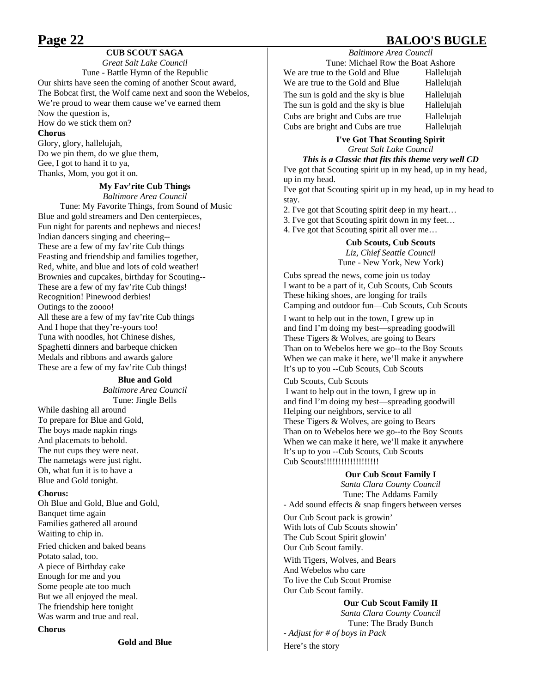## Page 22 BALOO'S BUGLE

#### **CUB SCOUT SAGA**  *Great Salt Lake Council*  Tune - Battle Hymn of the Republic Our shirts have seen the coming of another Scout award, The Bobcat first, the Wolf came next and soon the Webelos, We're proud to wear them cause we've earned them Now the question is, How do we stick them on?

#### **Chorus**

Glory, glory, hallelujah, Do we pin them, do we glue them, Gee, I got to hand it to ya, Thanks, Mom, you got it on.

#### **My Fav'rite Cub Things**  *Baltimore Area Council*

 Tune: My Favorite Things, from Sound of Music Blue and gold streamers and Den centerpieces, Fun night for parents and nephews and nieces! Indian dancers singing and cheering-- These are a few of my fav'rite Cub things Feasting and friendship and families together, Red, white, and blue and lots of cold weather! Brownies and cupcakes, birthday for Scouting-- These are a few of my fav'rite Cub things! Recognition! Pinewood derbies! Outings to the zoooo! All these are a few of my fav'rite Cub things And I hope that they're-yours too! Tuna with noodles, hot Chinese dishes, Spaghetti dinners and barbeque chicken Medals and ribbons and awards galore These are a few of my fav'rite Cub things!

#### **Blue and Gold**

*Baltimore Area Council*  Tune: Jingle Bells While dashing all around To prepare for Blue and Gold, The boys made napkin rings And placemats to behold. The nut cups they were neat. The nametags were just right. Oh, what fun it is to have a Blue and Gold tonight.

#### **Chorus:**

Oh Blue and Gold, Blue and Gold, Banquet time again Families gathered all around Waiting to chip in.

Fried chicken and baked beans Potato salad, too. A piece of Birthday cake Enough for me and you Some people ate too much But we all enjoyed the meal. The friendship here tonight Was warm and true and real.

#### **Chorus**

**Gold and Blue** 

| <b>Baltimore Area Council</b>       |                                   |  |  |  |
|-------------------------------------|-----------------------------------|--|--|--|
|                                     | Tune: Michael Row the Boat Ashore |  |  |  |
| We are true to the Gold and Blue    | Hallelujah                        |  |  |  |
| We are true to the Gold and Blue    | Hallelujah                        |  |  |  |
| The sun is gold and the sky is blue | Hallelujah                        |  |  |  |
| The sun is gold and the sky is blue | Hallelujah                        |  |  |  |
| Cubs are bright and Cubs are true   | Hallelujah                        |  |  |  |
| Cubs are bright and Cubs are true   | Hallelujah                        |  |  |  |

### **I've Got That Scouting Spirit**

*Great Salt Lake Council* 

#### *This is a Classic that fits this theme very well CD*

I've got that Scouting spirit up in my head, up in my head, up in my head.

I've got that Scouting spirit up in my head, up in my head to stay.

2. I've got that Scouting spirit deep in my heart…

3. I've got that Scouting spirit down in my feet…

4. I've got that Scouting spirit all over me…

### **Cub Scouts, Cub Scouts**

*Liz, Chief Seattle Council*  Tune - New York, New York)

Cubs spread the news, come join us today I want to be a part of it, Cub Scouts, Cub Scouts These hiking shoes, are longing for trails Camping and outdoor fun—Cub Scouts, Cub Scouts

I want to help out in the town, I grew up in and find I'm doing my best—spreading goodwill These Tigers & Wolves, are going to Bears Than on to Webelos here we go--to the Boy Scouts When we can make it here, we'll make it anywhere It's up to you --Cub Scouts, Cub Scouts

#### Cub Scouts, Cub Scouts

 I want to help out in the town, I grew up in and find I'm doing my best—spreading goodwill Helping our neighbors, service to all These Tigers & Wolves, are going to Bears Than on to Webelos here we go--to the Boy Scouts When we can make it here, we'll make it anywhere It's up to you --Cub Scouts, Cub Scouts Cub Scouts!!!!!!!!!!!!!!!!!!!

#### **Our Cub Scout Family I**

*Santa Clara County Council*  Tune: The Addams Family - Add sound effects & snap fingers between verses

Our Cub Scout pack is growin' With lots of Cub Scouts showin' The Cub Scout Spirit glowin' Our Cub Scout family.

With Tigers, Wolves, and Bears And Webelos who care To live the Cub Scout Promise Our Cub Scout family.

**Our Cub Scout Family II** 

*Santa Clara County Council*  Tune: The Brady Bunch *- Adjust for # of boys in Pack* 

Here's the story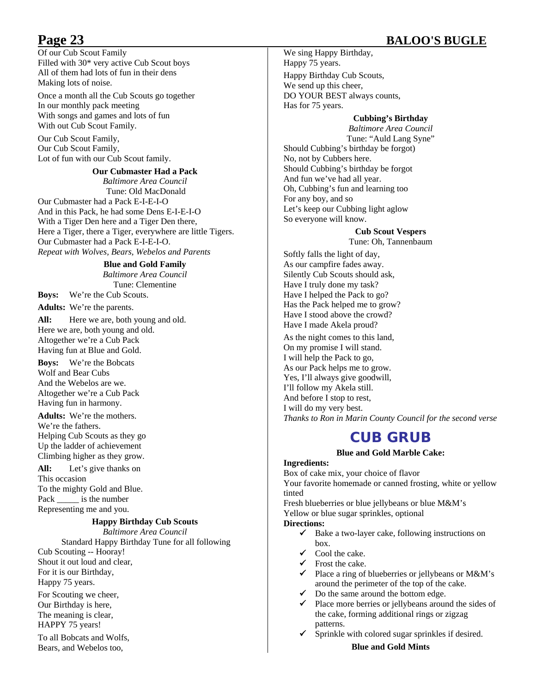Of our Cub Scout Family Filled with 30\* very active Cub Scout boys All of them had lots of fun in their dens Making lots of noise.

Once a month all the Cub Scouts go together In our monthly pack meeting With songs and games and lots of fun With out Cub Scout Family.

Our Cub Scout Family, Our Cub Scout Family, Lot of fun with our Cub Scout family.

#### **Our Cubmaster Had a Pack**

*Baltimore Area Council*  Tune: Old MacDonald Our Cubmaster had a Pack E-I-E-I-O And in this Pack, he had some Dens E-I-E-I-O With a Tiger Den here and a Tiger Den there, Here a Tiger, there a Tiger, everywhere are little Tigers. Our Cubmaster had a Pack E-I-E-I-O. *Repeat with Wolves, Bears, Webelos and Parents* 

#### **Blue and Gold Family**

*Baltimore Area Council*  Tune: Clementine

**Boys:** We're the Cub Scouts. **Adults:** We're the parents.

All: Here we are, both young and old. Here we are, both young and old. Altogether we're a Cub Pack Having fun at Blue and Gold.

**Boys:** We're the Bobcats Wolf and Bear Cubs And the Webelos are we. Altogether we're a Cub Pack Having fun in harmony.

**Adults:** We're the mothers. We're the fathers. Helping Cub Scouts as they go Up the ladder of achievement Climbing higher as they grow.

**All:** Let's give thanks on This occasion To the mighty Gold and Blue. Pack \_\_\_\_\_\_\_ is the number Representing me and you.

#### **Happy Birthday Cub Scouts**

*Baltimore Area Council*  Standard Happy Birthday Tune for all following Cub Scouting -- Hooray! Shout it out loud and clear, For it is our Birthday, Happy 75 years.

For Scouting we cheer, Our Birthday is here, The meaning is clear, HAPPY 75 years!

To all Bobcats and Wolfs, Bears, and Webelos too,

We sing Happy Birthday, Happy 75 years. Happy Birthday Cub Scouts, We send up this cheer, DO YOUR BEST always counts, Has for 75 years.

#### **Cubbing's Birthday**

*Baltimore Area Council* 

Tune: "Auld Lang Syne" Should Cubbing's birthday be forgot) No, not by Cubbers here. Should Cubbing's birthday be forgot And fun we've had all year. Oh, Cubbing's fun and learning too For any boy, and so Let's keep our Cubbing light aglow So everyone will know.

#### **Cub Scout Vespers**  Tune: Oh, Tannenbaum

Softly falls the light of day, As our campfire fades away. Silently Cub Scouts should ask, Have I truly done my task? Have I helped the Pack to go? Has the Pack helped me to grow? Have I stood above the crowd? Have I made Akela proud?

As the night comes to this land, On my promise I will stand. I will help the Pack to go, As our Pack helps me to grow. Yes, I'll always give goodwill, I'll follow my Akela still. And before I stop to rest, I will do my very best. *Thanks to Ron in Marin County Council for the second verse* 

## **CUB GRUB**

#### **Blue and Gold Marble Cake:**

#### **Ingredients:**

Box of cake mix, your choice of flavor Your favorite homemade or canned frosting, white or yellow tinted

Fresh blueberries or blue jellybeans or blue M&M's Yellow or blue sugar sprinkles, optional

### **Directions:**

- $\checkmark$  Bake a two-layer cake, following instructions on box.
- $\checkmark$  Cool the cake.
- $\checkmark$  Frost the cake.
- Place a ring of blueberries or jellybeans or  $M\&M$ 's around the perimeter of the top of the cake.
- $\checkmark$  Do the same around the bottom edge.
- $\checkmark$  Place more berries or jellybeans around the sides of the cake, forming additional rings or zigzag patterns.
- Sprinkle with colored sugar sprinkles if desired. **Blue and Gold Mints**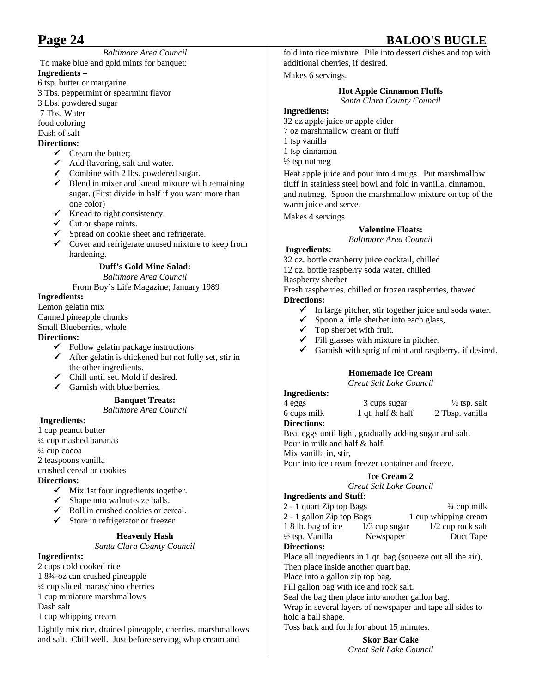## **Page 24** BALOO'S BUGLE

*Baltimore Area Council*  To make blue and gold mints for banquet:

### **Ingredients –**

- 6 tsp. butter or margarine
- 3 Tbs. peppermint or spearmint flavor
- 3 Lbs. powdered sugar
- 7 Tbs. Water
- food coloring

Dash of salt

#### **Directions:**

- $\checkmark$  Cream the butter;
- $\checkmark$  Add flavoring, salt and water.
- $\checkmark$  Combine with 2 lbs. powdered sugar.
- $\blacktriangleright$  Blend in mixer and knead mixture with remaining sugar. (First divide in half if you want more than one color)
- $\checkmark$  Knead to right consistency.
- $\checkmark$  Cut or shape mints.
- $\checkmark$  Spread on cookie sheet and refrigerate.
- $\checkmark$  Cover and refrigerate unused mixture to keep from hardening.

#### **Duff's Gold Mine Salad:**

*Baltimore Area Council*  From Boy's Life Magazine; January 1989

#### **Ingredients:**

Lemon gelatin mix

Canned pineapple chunks

Small Blueberries, whole

#### **Directions:**

- $\checkmark$  Follow gelatin package instructions.
- $\checkmark$  After gelatin is thickened but not fully set, stir in the other ingredients.
- $\checkmark$  Chill until set. Mold if desired.
- $\checkmark$  Garnish with blue berries.

### **Banquet Treats:**

*Baltimore Area Council* 

#### **Ingredients:**

1 cup peanut butter

¼ cup mashed bananas

¼ cup cocoa

2 teaspoons vanilla

crushed cereal or cookies

#### **Directions:**

- $\checkmark$  Mix 1st four ingredients together.
- $\checkmark$  Shape into walnut-size balls.
- $\checkmark$  Roll in crushed cookies or cereal.
- $\checkmark$  Store in refrigerator or freezer.

#### **Heavenly Hash**

*Santa Clara County Council* 

#### **Ingredients:**

2 cups cold cooked rice

- 1 8¾-oz can crushed pineapple
- ¼ cup sliced maraschino cherries
- 1 cup miniature marshmallows

Dash salt

1 cup whipping cream

Lightly mix rice, drained pineapple, cherries, marshmallows and salt. Chill well. Just before serving, whip cream and

fold into rice mixture. Pile into dessert dishes and top with additional cherries, if desired.

Makes 6 servings.

#### **Hot Apple Cinnamon Fluffs**

*Santa Clara County Council* 

#### **Ingredients:**

32 oz apple juice or apple cider 7 oz marshmallow cream or fluff 1 tsp vanilla 1 tsp cinnamon  $\frac{1}{2}$  tsp nutmeg

Heat apple juice and pour into 4 mugs. Put marshmallow fluff in stainless steel bowl and fold in vanilla, cinnamon, and nutmeg. Spoon the marshmallow mixture on top of the warm juice and serve.

Makes 4 servings.

#### **Valentine Floats:**

*Baltimore Area Council* 

#### **Ingredients:**

32 oz. bottle cranberry juice cocktail, chilled

12 oz. bottle raspberry soda water, chilled

Raspberry sherbet

Fresh raspberries, chilled or frozen raspberries, thawed **Directions:** 

- $\checkmark$  In large pitcher, stir together juice and soda water.
- Spoon a little sherbet into each glass,
- $\checkmark$  Top sherbet with fruit.
- $\checkmark$  Fill glasses with mixture in pitcher.
- $\checkmark$  Garnish with sprig of mint and raspberry, if desired.

#### **Homemade Ice Cream**

*Great Salt Lake Council* 

#### **Ingredients:**

4 eggs 3 cups sugar  $\frac{1}{2}$  tsp. salt 6 cups milk  $1$  qt. half & half  $2$  Tbsp. vanilla

#### **Directions:**

Beat eggs until light, gradually adding sugar and salt.

Pour in milk and half & half.

Mix vanilla in, stir,

Pour into ice cream freezer container and freeze.

### **Ice Cream 2**

### *Great Salt Lake Council*

#### **Ingredients and Stuff:**

| 2 - 1 quart Zip top Bags  |                 | $\frac{3}{4}$ cup milk |
|---------------------------|-----------------|------------------------|
| 2 - 1 gallon Zip top Bags |                 | 1 cup whipping cream   |
| 18 lb. bag of ice         | $1/3$ cup sugar | $1/2$ cup rock salt    |
| 1/2 tsp. Vanilla          | Newspaper       | Duct Tape              |
| $\sim$                    |                 |                        |

#### **Directions:**

Place all ingredients in 1 qt. bag (squeeze out all the air), Then place inside another quart bag.

Place into a gallon zip top bag.

Fill gallon bag with ice and rock salt.

Seal the bag then place into another gallon bag.

Wrap in several layers of newspaper and tape all sides to hold a ball shape.

Toss back and forth for about 15 minutes.

**Skor Bar Cake**  *Great Salt Lake Council*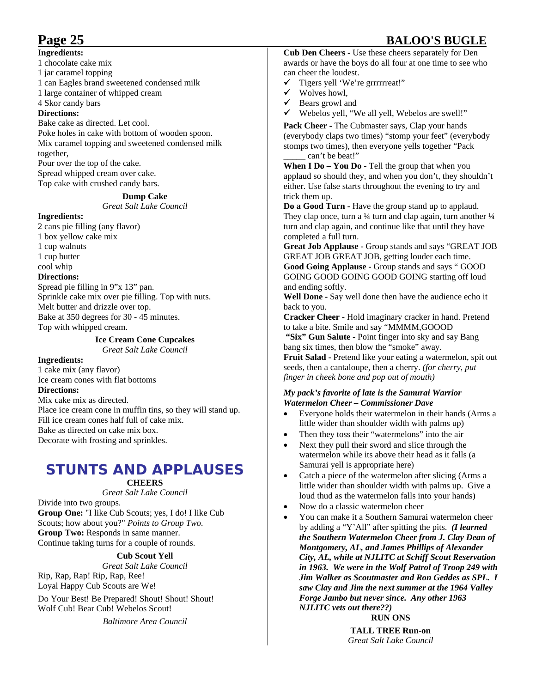## **Ingredients:**

- 1 chocolate cake mix
- 1 jar caramel topping
- 1 can Eagles brand sweetened condensed milk
- 1 large container of whipped cream

### 4 Skor candy bars

#### **Directions:**

Bake cake as directed. Let cool. Poke holes in cake with bottom of wooden spoon. Mix caramel topping and sweetened condensed milk together, Pour over the top of the cake. Spread whipped cream over cake.

Top cake with crushed candy bars.

#### **Dump Cake**

*Great Salt Lake Council* 

#### **Ingredients:**

2 cans pie filling (any flavor) 1 box yellow cake mix 1 cup walnuts 1 cup butter cool whip **Directions:**  Spread pie filling in 9"x 13" pan. Sprinkle cake mix over pie filling. Top with nuts. Melt butter and drizzle over top. Bake at 350 degrees for 30 - 45 minutes. Top with whipped cream.

### **Ice Cream Cone Cupcakes**

*Great Salt Lake Council* 

#### **Ingredients:**

1 cake mix (any flavor) Ice cream cones with flat bottoms

#### **Directions:**

Mix cake mix as directed. Place ice cream cone in muffin tins, so they will stand up. Fill ice cream cones half full of cake mix. Bake as directed on cake mix box. Decorate with frosting and sprinkles.

## **STUNTS AND APPLAUSES**

### **CHEERS**

*Great Salt Lake Council* 

Divide into two groups. **Group One:** "I like Cub Scouts; yes, I do! I like Cub Scouts; how about you?" *Points to Group Two.* **Group Two:** Responds in same manner. Continue taking turns for a couple of rounds.

#### **Cub Scout Yell**

*Great Salt Lake Council*  Rip, Rap, Rap! Rip, Rap, Ree! Loyal Happy Cub Scouts are We!

Do Your Best! Be Prepared! Shout! Shout! Shout! Wolf Cub! Bear Cub! Webelos Scout!

*Baltimore Area Council* 

**Cub Den Cheers -** Use these cheers separately for Den awards or have the boys do all four at one time to see who can cheer the loudest.

- $\checkmark$  Tigers yell 'We're gr $rrrr$ rrrreat!"
- $\checkmark$  Wolves howl,
- $\checkmark$  Bears growl and
- 9 Webelos yell, "We all yell, Webelos are swell!"

Pack Cheer - The Cubmaster says, Clap your hands (everybody claps two times) "stomp your feet" (everybody stomps two times), then everyone yells together "Pack can't be beat!"

**When I Do – You Do - Tell the group that when you** applaud so should they, and when you don't, they shouldn't either. Use false starts throughout the evening to try and trick them up.

**Do a Good Turn -** Have the group stand up to applaud. They clap once, turn a ¼ turn and clap again, turn another ¼ turn and clap again, and continue like that until they have completed a full turn.

**Great Job Applause -** Group stands and says "GREAT JOB GREAT JOB GREAT JOB, getting louder each time.

**Good Going Applause -** Group stands and says " GOOD GOING GOOD GOING GOOD GOING starting off loud and ending softly.

**Well Done -** Say well done then have the audience echo it back to you.

**Cracker Cheer -** Hold imaginary cracker in hand. Pretend to take a bite. Smile and say "MMMM,GOOOD

 **"Six" Gun Salute -** Point finger into sky and say Bang bang six times, then blow the "smoke" away.

**Fruit Salad -** Pretend like your eating a watermelon, spit out seeds, then a cantaloupe, then a cherry. *(for cherry, put finger in cheek bone and pop out of mouth)* 

#### *My pack's favorite of late is the Samurai Warrior Watermelon Cheer – Commissioner Dave*

- Everyone holds their watermelon in their hands (Arms a little wider than shoulder width with palms up)
- Then they toss their "watermelons" into the air
- Next they pull their sword and slice through the watermelon while its above their head as it falls (a Samurai yell is appropriate here)
- Catch a piece of the watermelon after slicing (Arms a little wider than shoulder width with palms up. Give a loud thud as the watermelon falls into your hands)
- Now do a classic watermelon cheer
- You can make it a Southern Samurai watermelon cheer by adding a "Y'All" after spitting the pits. *(I learned the Southern Watermelon Cheer from J. Clay Dean of Montgomery, AL, and James Phillips of Alexander City, AL, while at NJLITC at Schiff Scout Reservation in 1963. We were in the Wolf Patrol of Troop 249 with Jim Walker as Scoutmaster and Ron Geddes as SPL. I saw Clay and Jim the next summer at the 1964 Valley Forge Jambo but never since. Any other 1963 NJLITC vets out there??)*

**RUN ONS TALL TREE Run-on**  *Great Salt Lake Council*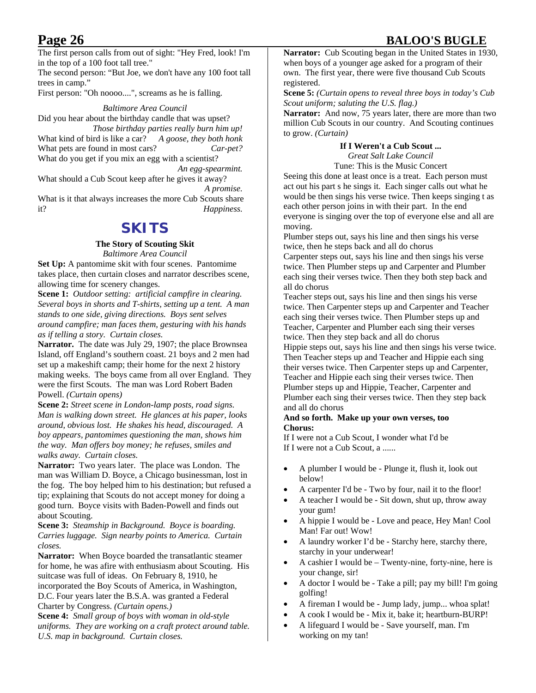## **Page 26** BALOO'S BUGLE

The first person calls from out of sight: "Hey Fred, look! I'm in the top of a 100 foot tall tree."

The second person: "But Joe, we don't have any 100 foot tall trees in camp."

First person: "Oh noooo....", screams as he is falling.

#### *Baltimore Area Council*

Did you hear about the birthday candle that was upset? *Those birthday parties really burn him up!*  What kind of bird is like a car? *A goose, they both honk* 

What pets are found in most cars? *Car-pet?*  What do you get if you mix an egg with a scientist?

*An egg-spearmint.* 

What should a Cub Scout keep after he gives it away? *A promise.* 

What is it that always increases the more Cub Scouts share it? *Happiness.* 

## **SKITS**

## **The Story of Scouting Skit**

*Baltimore Area Council*  Set Up: A pantomime skit with four scenes. Pantomime

takes place, then curtain closes and narrator describes scene, allowing time for scenery changes.

**Scene 1:** *Outdoor setting: artificial campfire in clearing. Several boys in shorts and T-shirts, setting up a tent. A man stands to one side, giving directions. Boys sent selves around campfire; man faces them, gesturing with his hands as if telling a story. Curtain closes.* 

**Narrator.** The date was July 29, 1907; the place Brownsea Island, off England's southern coast. 21 boys and 2 men had set up a makeshift camp; their home for the next 2 history making weeks. The boys came from all over England. They were the first Scouts. The man was Lord Robert Baden Powell. *(Curtain opens)* 

**Scene 2:** *Street scene in London-lamp posts, road signs. Man is walking down street. He glances at his paper, looks around, obvious lost. He shakes his head, discouraged. A boy appears, pantomimes questioning the man, shows him the way. Man offers boy money; he refuses, smiles and walks away. Curtain closes.* 

**Narrator:** Two years later. The place was London. The man was William D. Boyce, a Chicago businessman, lost in the fog. The boy helped him to his destination; but refused a tip; explaining that Scouts do not accept money for doing a good turn. Boyce visits with Baden-Powell and finds out about Scouting.

**Scene 3:** *Steamship in Background. Boyce is boarding. Carries luggage. Sign nearby points to America. Curtain closes.* 

**Narrator:** When Boyce boarded the transatlantic steamer for home, he was afire with enthusiasm about Scouting. His suitcase was full of ideas. On February 8, 1910, he incorporated the Boy Scouts of America, in Washington, D.C. Four years later the B.S.A. was granted a Federal Charter by Congress. *(Curtain opens.)* 

**Scene 4:** *Small group of boys with woman in old-style uniforms. They are working on a craft protect around table. U.S. map in background. Curtain closes.* 

**Narrator:** Cub Scouting began in the United States in 1930, when boys of a younger age asked for a program of their own. The first year, there were five thousand Cub Scouts registered.

**Scene 5:** *(Curtain opens to reveal three boys in today's Cub Scout uniform; saluting the U.S. flag.)* 

**Narrator:** And now, 75 years later, there are more than two million Cub Scouts in our country. And Scouting continues to grow. *(Curtain)*

#### **If I Weren't a Cub Scout ...**

*Great Salt Lake Council* 

Tune: This is the Music Concert Seeing this done at least once is a treat. Each person must act out his part s he sings it. Each singer calls out what he would be then sings his verse twice. Then keeps singing t as each other person joins in with their part. In the end everyone is singing over the top of everyone else and all are moving.

Plumber steps out, says his line and then sings his verse twice, then he steps back and all do chorus Carpenter steps out, says his line and then sings his verse twice. Then Plumber steps up and Carpenter and Plumber each sing their verses twice. Then they both step back and all do chorus

Teacher steps out, says his line and then sings his verse twice. Then Carpenter steps up and Carpenter and Teacher each sing their verses twice. Then Plumber steps up and Teacher, Carpenter and Plumber each sing their verses twice. Then they step back and all do chorus Hippie steps out, says his line and then sings his verse twice. Then Teacher steps up and Teacher and Hippie each sing their verses twice. Then Carpenter steps up and Carpenter, Teacher and Hippie each sing their verses twice. Then Plumber steps up and Hippie, Teacher, Carpenter and Plumber each sing their verses twice. Then they step back and all do chorus

#### **And so forth. Make up your own verses, too Chorus:**

If I were not a Cub Scout, I wonder what I'd be If I were not a Cub Scout, a ......

- A plumber I would be Plunge it, flush it, look out below!
- A carpenter I'd be Two by four, nail it to the floor!
- A teacher I would be Sit down, shut up, throw away your gum!
- A hippie I would be Love and peace, Hey Man! Cool Man! Far out! Wow!
- A laundry worker I'd be Starchy here, starchy there, starchy in your underwear!
- A cashier I would be Twenty-nine, forty-nine, here is your change, sir!
- A doctor I would be Take a pill; pay my bill! I'm going golfing!
- A fireman I would be Jump lady, jump... whoa splat!
- A cook I would be Mix it, bake it; heartburn-BURP!
- A lifeguard I would be Save yourself, man. I'm working on my tan!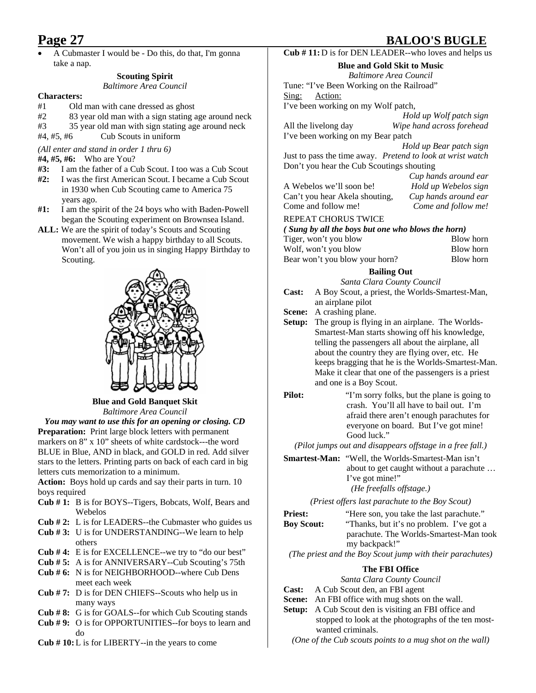- Page 27 BALOO'S BUGLE
- A Cubmaster I would be Do this, do that, I'm gonna take a nap.

### **Scouting Spirit**

#### *Baltimore Area Council*

#### **Characters:**

- #1 Old man with cane dressed as ghost
- #2 83 year old man with a sign stating age around neck
- #3 35 year old man with sign stating age around neck
- #4, #5, #6 Cub Scouts in uniform

*(All enter and stand in order 1 thru 6)*

- **#4, #5, #6:** Who are You?
- **#3:** I am the father of a Cub Scout. I too was a Cub Scout
- **#2:** I was the first American Scout. I became a Cub Scout in 1930 when Cub Scouting came to America 75 years ago.
- **#1:** I am the spirit of the 24 boys who with Baden-Powell began the Scouting experiment on Brownsea Island.
- ALL: We are the spirit of today's Scouts and Scouting movement. We wish a happy birthday to all Scouts. Won't all of you join us in singing Happy Birthday to Scouting.



**Blue and Gold Banquet Skit**  *Baltimore Area Council* 

*You may want to use this for an opening or closing. CD*  **Preparation:** Print large block letters with permanent markers on 8" x 10" sheets of white cardstock---the word BLUE in Blue, AND in black, and GOLD in red. Add silver stars to the letters. Printing parts on back of each card in big letters cuts memorization to a minimum.

**Action:** Boys hold up cards and say their parts in turn. 10 boys required

- **Cub # 1:** B is for BOYS--Tigers, Bobcats, Wolf, Bears and Webelos
- **Cub # 2:** L is for LEADERS--the Cubmaster who guides us
- **Cub # 3:** U is for UNDERSTANDING--We learn to help others
- **Cub # 4:** E is for EXCELLENCE--we try to "do our best"
- **Cub # 5:** A is for ANNIVERSARY--Cub Scouting's 75th
- **Cub # 6:** N is for NEIGHBORHOOD--where Cub Dens meet each week
- **Cub # 7:** D is for DEN CHIEFS--Scouts who help us in many ways
- **Cub # 8:** G is for GOALS--for which Cub Scouting stands
- **Cub # 9:** O is for OPPORTUNITIES--for boys to learn and do
- **Cub # 10:**L is for LIBERTY--in the years to come

#### **Cub # 11:** D is for DEN LEADER--who loves and helps us

**Blue and Gold Skit to Music** 

*Baltimore Area Council*  Tune: "I've Been Working on the Railroad" Sing: Action: I've been working on my Wolf patch,

*Hold up Wolf patch sign* All the livelong day *Wipe hand across forehead* I've been working on my Bear patch

*Hold up Bear patch sign* 

Just to pass the time away. *Pretend to look at wrist watch* Don't you hear the Cub Scoutings shouting

*Cup hands around ear*  A Webelos we'll soon be! *Hold up Webelos sign* Can't you hear Akela shouting, *Cup hands around ear*  Come and follow me! *Come and follow me!*

#### REPEAT CHORUS TWICE

*( Sung by all the boys but one who blows the horn)*

| Tiger, won't you blow          | Blow horn |
|--------------------------------|-----------|
| Wolf, won't you blow           | Blow horn |
| Bear won't you blow your horn? | Blow horn |

#### **Bailing Out**

*Santa Clara County Council*

- **Cast:** A Boy Scout, a priest, the Worlds-Smartest-Man, an airplane pilot
- **Scene:** A crashing plane.
- **Setup:** The group is flying in an airplane. The Worlds-Smartest-Man starts showing off his knowledge, telling the passengers all about the airplane, all about the country they are flying over, etc. He keeps bragging that he is the Worlds-Smartest-Man. Make it clear that one of the passengers is a priest and one is a Boy Scout.
- **Pilot:** "I'm sorry folks, but the plane is going to crash. You'll all have to bail out. I'm afraid there aren't enough parachutes for everyone on board. But I've got mine! Good luck."

*(Pilot jumps out and disappears offstage in a free fall.)*

**Smartest-Man:** "Well, the Worlds-Smartest-Man isn't about to get caught without a parachute … I've got mine!"

*(He freefalls offstage.)*

*(Priest offers last parachute to the Boy Scout)*

- **Priest:** "Here son, you take the last parachute." **Boy Scout:** "Thanks, but it's no problem. I've got a parachute. The Worlds-Smartest-Man took my backpack!"
	- *(The priest and the Boy Scout jump with their parachutes)*

#### **The FBI Office**

*Santa Clara County Council*

- **Cast:** A Cub Scout den, an FBI agent
- **Scene:** An FBI office with mug shots on the wall.
- **Setup:** A Cub Scout den is visiting an FBI office and stopped to look at the photographs of the ten mostwanted criminals.
	- *(One of the Cub scouts points to a mug shot on the wall)*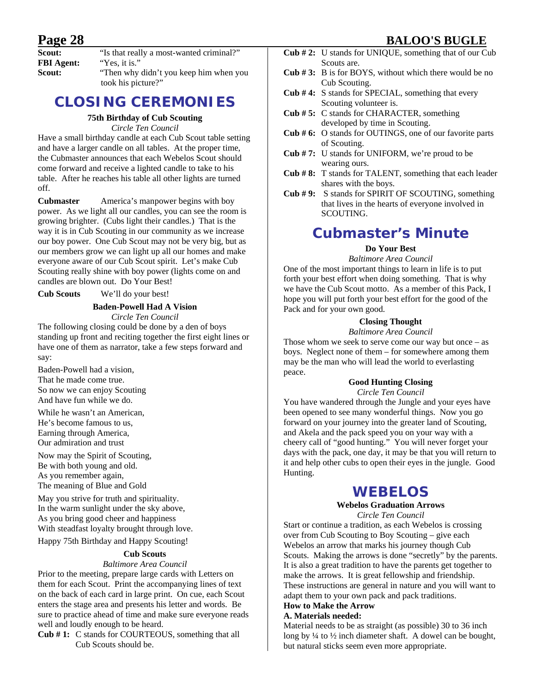| Scout:            | "Is that really a most-wanted criminal?" |
|-------------------|------------------------------------------|
| <b>FBI</b> Agent: | "Yes. it is."                            |
| Scout:            | "Then why didn't you keep him when you   |
|                   | took his picture?"                       |

## **CLOSING CEREMONIES**

### **75th Birthday of Cub Scouting**

*Circle Ten Council* 

Have a small birthday candle at each Cub Scout table setting and have a larger candle on all tables. At the proper time, the Cubmaster announces that each Webelos Scout should come forward and receive a lighted candle to take to his table. After he reaches his table all other lights are turned off.

**Cubmaster** America's manpower begins with boy power. As we light all our candles, you can see the room is growing brighter. (Cubs light their candles.) That is the way it is in Cub Scouting in our community as we increase our boy power. One Cub Scout may not be very big, but as our members grow we can light up all our homes and make everyone aware of our Cub Scout spirit. Let's make Cub Scouting really shine with boy power (lights come on and candles are blown out. Do Your Best!

**Cub Scouts** We'll do your best!

## **Baden-Powell Had A Vision**

*Circle Ten Council* 

The following closing could be done by a den of boys standing up front and reciting together the first eight lines or have one of them as narrator, take a few steps forward and say:

Baden-Powell had a vision, That he made come true. So now we can enjoy Scouting And have fun while we do.

While he wasn't an American, He's become famous to us, Earning through America, Our admiration and trust

Now may the Spirit of Scouting, Be with both young and old. As you remember again, The meaning of Blue and Gold

May you strive for truth and spirituality. In the warm sunlight under the sky above, As you bring good cheer and happiness With steadfast loyalty brought through love.

Happy 75th Birthday and Happy Scouting!

#### **Cub Scouts**

#### *Baltimore Area Council*

Prior to the meeting, prepare large cards with Letters on them for each Scout. Print the accompanying lines of text on the back of each card in large print. On cue, each Scout enters the stage area and presents his letter and words. Be sure to practice ahead of time and make sure everyone reads well and loudly enough to be heard.

**Cub # 1:** C stands for COURTEOUS, something that all Cub Scouts should be.

- **Page 28** BALOO'S BUGLE<br> **Page 28** Scout: "Is that really a most-wanted criminal?" | Cub #2: U stands for UNIOUE, something that of our C **Cub # 2:** U stands for UNIQUE, something that of our Cub Scouts are.
	- **Cub # 3:** B is for BOYS, without which there would be no Cub Scouting.
	- **Cub # 4:** S stands for SPECIAL, something that every Scouting volunteer is.
	- **Cub # 5:** C stands for CHARACTER, something developed by time in Scouting.
	- **Cub # 6:** O stands for OUTINGS, one of our favorite parts of Scouting.
	- **Cub # 7:** U stands for UNIFORM, we're proud to be wearing ours.
	- **Cub # 8:** T stands for TALENT, something that each leader shares with the boys.
	- **Cub # 9:** S stands for SPIRIT OF SCOUTING, something that lives in the hearts of everyone involved in SCOUTING.

## **Cubmaster's Minute**

#### **Do Your Best**

*Baltimore Area Council*  One of the most important things to learn in life is to put forth your best effort when doing something. That is why we have the Cub Scout motto. As a member of this Pack, I hope you will put forth your best effort for the good of the Pack and for your own good.

#### **Closing Thought**

*Baltimore Area Council* 

Those whom we seek to serve come our way but once – as boys. Neglect none of them – for somewhere among them may be the man who will lead the world to everlasting peace.

#### **Good Hunting Closing**

*Circle Ten Council* 

You have wandered through the Jungle and your eyes have been opened to see many wonderful things. Now you go forward on your journey into the greater land of Scouting, and Akela and the pack speed you on your way with a cheery call of "good hunting." You will never forget your days with the pack, one day, it may be that you will return to it and help other cubs to open their eyes in the jungle. Good Hunting.

## **WEBELOS**

**Webelos Graduation Arrows**  *Circle Ten Council* 

Start or continue a tradition, as each Webelos is crossing over from Cub Scouting to Boy Scouting – give each Webelos an arrow that marks his journey though Cub Scouts. Making the arrows is done "secretly" by the parents. It is also a great tradition to have the parents get together to make the arrows. It is great fellowship and friendship. These instructions are general in nature and you will want to adapt them to your own pack and pack traditions.

### **How to Make the Arrow**

#### **A. Materials needed:**

Material needs to be as straight (as possible) 30 to 36 inch long by ¼ to ½ inch diameter shaft. A dowel can be bought, but natural sticks seem even more appropriate.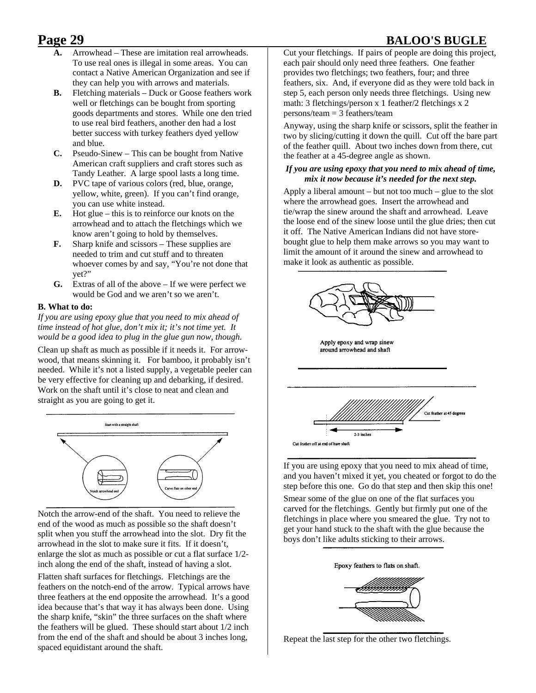## Page 29 BALOO'S BUGLE

- **A.** Arrowhead These are imitation real arrowheads. To use real ones is illegal in some areas. You can contact a Native American Organization and see if they can help you with arrows and materials.
- **B.** Fletching materials Duck or Goose feathers work well or fletchings can be bought from sporting goods departments and stores. While one den tried to use real bird feathers, another den had a lost better success with turkey feathers dyed yellow and blue.
- **C.** Pseudo-Sinew This can be bought from Native American craft suppliers and craft stores such as Tandy Leather. A large spool lasts a long time.
- **D.** PVC tape of various colors (red, blue, orange, yellow, white, green). If you can't find orange, you can use white instead.
- **E.** Hot glue this is to reinforce our knots on the arrowhead and to attach the fletchings which we know aren't going to hold by themselves.
- **F.** Sharp knife and scissors These supplies are needed to trim and cut stuff and to threaten whoever comes by and say, "You're not done that yet?"
- **G.** Extras of all of the above If we were perfect we would be God and we aren't so we aren't.

#### **B. What to do:**

*If you are using epoxy glue that you need to mix ahead of time instead of hot glue, don't mix it; it's not time yet. It would be a good idea to plug in the glue gun now, though.* 

Clean up shaft as much as possible if it needs it. For arrowwood, that means skinning it. For bamboo, it probably isn't needed. While it's not a listed supply, a vegetable peeler can be very effective for cleaning up and debarking, if desired. Work on the shaft until it's close to neat and clean and straight as you are going to get it.



Notch the arrow-end of the shaft. You need to relieve the end of the wood as much as possible so the shaft doesn't split when you stuff the arrowhead into the slot. Dry fit the arrowhead in the slot to make sure it fits. If it doesn't, enlarge the slot as much as possible or cut a flat surface 1/2 inch along the end of the shaft, instead of having a slot.

Flatten shaft surfaces for fletchings. Fletchings are the feathers on the notch-end of the arrow. Typical arrows have three feathers at the end opposite the arrowhead. It's a good idea because that's that way it has always been done. Using the sharp knife, "skin" the three surfaces on the shaft where the feathers will be glued. These should start about 1/2 inch from the end of the shaft and should be about 3 inches long, spaced equidistant around the shaft.

Cut your fletchings. If pairs of people are doing this project, each pair should only need three feathers. One feather provides two fletchings; two feathers, four; and three feathers, six. And, if everyone did as they were told back in step 5, each person only needs three fletchings. Using new math: 3 fletchings/person x 1 feather/2 fletchings x 2  $persons/team = 3<sub>feathers/team</sub>$ 

Anyway, using the sharp knife or scissors, split the feather in two by slicing/cutting it down the quill. Cut off the bare part of the feather quill. About two inches down from there, cut the feather at a 45-degree angle as shown.

#### *If you are using epoxy that you need to mix ahead of time, mix it now because it's needed for the next step.*

Apply a liberal amount – but not too much – glue to the slot where the arrowhead goes. Insert the arrowhead and tie/wrap the sinew around the shaft and arrowhead. Leave the loose end of the sinew loose until the glue dries; then cut it off. The Native American Indians did not have storebought glue to help them make arrows so you may want to limit the amount of it around the sinew and arrowhead to make it look as authentic as possible.



Apply epoxy and wrap sinew around arrowhead and shaft



If you are using epoxy that you need to mix ahead of time, and you haven't mixed it yet, you cheated or forgot to do the step before this one. Go do that step and then skip this one!

Smear some of the glue on one of the flat surfaces you carved for the fletchings. Gently but firmly put one of the fletchings in place where you smeared the glue. Try not to get your hand stuck to the shaft with the glue because the boys don't like adults sticking to their arrows.

Epoxy feathers to flats on shaft.



Repeat the last step for the other two fletchings.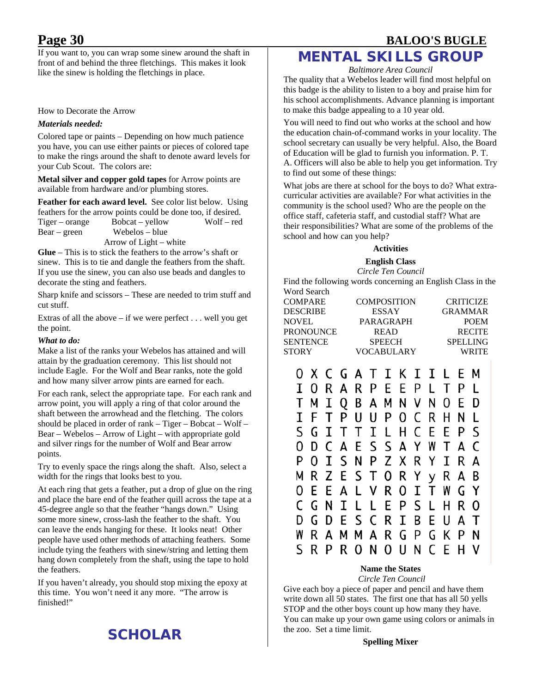If you want to, you can wrap some sinew around the shaft in front of and behind the three fletchings. This makes it look like the sinew is holding the fletchings in place.

How to Decorate the Arrow

#### *Materials needed:*

Colored tape or paints – Depending on how much patience you have, you can use either paints or pieces of colored tape to make the rings around the shaft to denote award levels for your Cub Scout. The colors are:

**Metal silver and copper gold tapes** for Arrow points are available from hardware and/or plumbing stores.

**Feather for each award level.** See color list below. Using feathers for the arrow points could be done too, if desired.

Tiger – orange Bobcat – yellow Wolf – red Bear – green Webelos – blue

Arrow of Light – white

**Glue** – This is to stick the feathers to the arrow's shaft or sinew. This is to tie and dangle the feathers from the shaft. If you use the sinew, you can also use beads and dangles to decorate the sting and feathers.

Sharp knife and scissors – These are needed to trim stuff and cut stuff.

Extras of all the above – if we were perfect . . . well you get the point.

#### *What to do:*

Make a list of the ranks your Webelos has attained and will attain by the graduation ceremony. This list should not include Eagle. For the Wolf and Bear ranks, note the gold and how many silver arrow pints are earned for each.

For each rank, select the appropriate tape. For each rank and arrow point, you will apply a ring of that color around the shaft between the arrowhead and the fletching. The colors should be placed in order of rank – Tiger – Bobcat – Wolf – Bear – Webelos – Arrow of Light – with appropriate gold and silver rings for the number of Wolf and Bear arrow points.

Try to evenly space the rings along the shaft. Also, select a width for the rings that looks best to you.

At each ring that gets a feather, put a drop of glue on the ring and place the bare end of the feather quill across the tape at a 45-degree angle so that the feather "hangs down." Using some more sinew, cross-lash the feather to the shaft. You can leave the ends hanging for these. It looks neat! Other people have used other methods of attaching feathers. Some include tying the feathers with sinew/string and letting them hang down completely from the shaft, using the tape to hold the feathers.

If you haven't already, you should stop mixing the epoxy at this time. You won't need it any more. "The arrow is finished!"

## **Page 30** BALOO'S BUGLE **MENTAL SKILLS GROUP**

*Baltimore Area Council* 

The quality that a Webelos leader will find most helpful on this badge is the ability to listen to a boy and praise him for his school accomplishments. Advance planning is important to make this badge appealing to a 10 year old.

You will need to find out who works at the school and how the education chain-of-command works in your locality. The school secretary can usually be very helpful. Also, the Board of Education will be glad to furnish you information. P. T. A. Officers will also be able to help you get information. Try to find out some of these things:

What jobs are there at school for the boys to do? What extracurricular activities are available? For what activities in the community is the school used? Who are the people on the office staff, cafeteria staff, and custodial staff? What are their responsibilities? What are some of the problems of the school and how can you help?

#### **Activities**

### **English Class**

*Circle Ten Council* Find the following words concerning an English Class in the

| Word Search      |                    |                  |
|------------------|--------------------|------------------|
| <b>COMPARE</b>   | <b>COMPOSITION</b> | <b>CRITICIZE</b> |
| <b>DESCRIBE</b>  | <b>ESSAY</b>       | <b>GRAMMAR</b>   |
| <b>NOVEL</b>     | PARAGRAPH          | <b>POEM</b>      |
| <b>PRONOUNCE</b> | <b>READ</b>        | <b>RECITE</b>    |
| <b>SENTENCE</b>  | <b>SPEECH</b>      | <b>SPELLING</b>  |
| <b>STORY</b>     | VOCABULARY         | WRITE            |

|  |  | O X C G A T I K I I L E M |  |  |  |   |
|--|--|---------------------------|--|--|--|---|
|  |  | <b>IORARPEEPLTPL</b>      |  |  |  |   |
|  |  | TMIQBAMNVNOE              |  |  |  | D |
|  |  | I F T P U U P O C R H N L |  |  |  |   |
|  |  | <b>SGITTILHCEEPS</b>      |  |  |  |   |
|  |  | O D C A E S S A Y W T A C |  |  |  |   |
|  |  | P O I S N P Z X R Y I R A |  |  |  |   |
|  |  | M R Z E S T O R Y y R A B |  |  |  |   |
|  |  | O E E A L V R O I T W G Y |  |  |  |   |
|  |  | C G N I L L E P S L H R O |  |  |  |   |
|  |  | D G D E S C R I B E U A T |  |  |  |   |
|  |  | W R A M M A R G P G K P N |  |  |  |   |
|  |  | SRPRONOUNCEHV             |  |  |  |   |

#### **Name the States**

*Circle Ten Council*

Give each boy a piece of paper and pencil and have them write down all 50 states. The first one that has all 50 yells STOP and the other boys count up how many they have. You can make up your own game using colors or animals in the zoo. Set a time limit.

## **SCHOLAR**

#### **Spelling Mixer**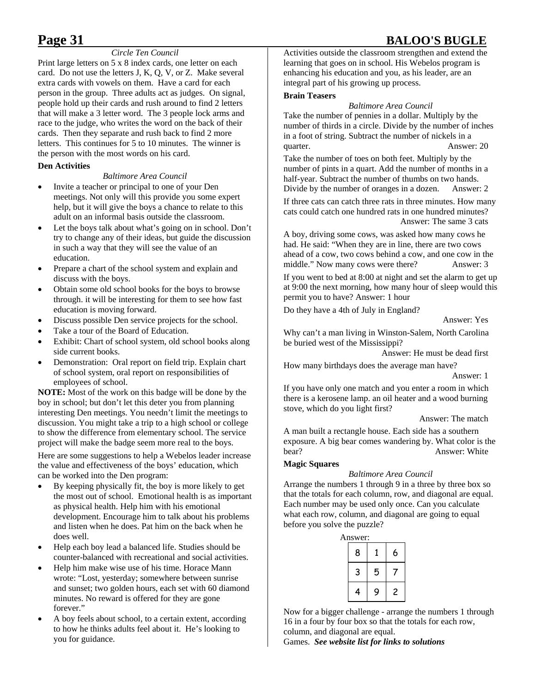## **Page 31** BALOO'S BUGLE

#### *Circle Ten Council*

Print large letters on 5 x 8 index cards, one letter on each card. Do not use the letters J, K, Q, V, or Z. Make several extra cards with vowels on them. Have a card for each person in the group. Three adults act as judges. On signal, people hold up their cards and rush around to find 2 letters that will make a 3 letter word. The 3 people lock arms and race to the judge, who writes the word on the back of their cards. Then they separate and rush back to find 2 more letters. This continues for 5 to 10 minutes. The winner is the person with the most words on his card.

### **Den Activities**

#### *Baltimore Area Council*

• Invite a teacher or principal to one of your Den meetings. Not only will this provide you some expert help, but it will give the boys a chance to relate to this adult on an informal basis outside the classroom.

- Let the boys talk about what's going on in school. Don't try to change any of their ideas, but guide the discussion in such a way that they will see the value of an education.
- Prepare a chart of the school system and explain and discuss with the boys.
- Obtain some old school books for the boys to browse through. it will be interesting for them to see how fast education is moving forward.
- Discuss possible Den service projects for the school.
- Take a tour of the Board of Education.
- Exhibit: Chart of school system, old school books along side current books.
- Demonstration: Oral report on field trip. Explain chart of school system, oral report on responsibilities of employees of school.

**NOTE:** Most of the work on this badge will be done by the boy in school; but don't let this deter you from planning interesting Den meetings. You needn't limit the meetings to discussion. You might take a trip to a high school or college to show the difference from elementary school. The service project will make the badge seem more real to the boys.

Here are some suggestions to help a Webelos leader increase the value and effectiveness of the boys' education, which can be worked into the Den program:

- By keeping physically fit, the boy is more likely to get the most out of school. Emotional health is as important as physical health. Help him with his emotional development. Encourage him to talk about his problems and listen when he does. Pat him on the back when he does well.
- Help each boy lead a balanced life. Studies should be counter-balanced with recreational and social activities.
- Help him make wise use of his time. Horace Mann wrote: "Lost, yesterday; somewhere between sunrise and sunset; two golden hours, each set with 60 diamond minutes. No reward is offered for they are gone forever."
- A boy feels about school, to a certain extent, according to how he thinks adults feel about it. He's looking to you for guidance.

Activities outside the classroom strengthen and extend the learning that goes on in school. His Webelos program is enhancing his education and you, as his leader, are an integral part of his growing up process.

#### **Brain Teasers**

#### *Baltimore Area Council*

Take the number of pennies in a dollar. Multiply by the number of thirds in a circle. Divide by the number of inches in a foot of string. Subtract the number of nickels in a quarter. Answer: 20

Take the number of toes on both feet. Multiply by the number of pints in a quart. Add the number of months in a half-year. Subtract the number of thumbs on two hands. Divide by the number of oranges in a dozen. Answer: 2

If three cats can catch three rats in three minutes. How many cats could catch one hundred rats in one hundred minutes? Answer: The same 3 cats

A boy, driving some cows, was asked how many cows he had. He said: "When they are in line, there are two cows ahead of a cow, two cows behind a cow, and one cow in the middle." Now many cows were there? Answer: 3

If you went to bed at 8:00 at night and set the alarm to get up at 9:00 the next morning, how many hour of sleep would this permit you to have? Answer: 1 hour

Do they have a 4th of July in England?

Answer: Yes

Why can't a man living in Winston-Salem, North Carolina be buried west of the Mississippi?

Answer: He must be dead first

How many birthdays does the average man have?

Answer: 1

If you have only one match and you enter a room in which there is a kerosene lamp. an oil heater and a wood burning stove, which do you light first?

Answer: The match

A man built a rectangle house. Each side has a southern exposure. A big bear comes wandering by. What color is the bear? Answer: White

#### **Magic Squares**

#### *Baltimore Area Council*

Arrange the numbers 1 through 9 in a three by three box so that the totals for each column, row, and diagonal are equal. Each number may be used only once. Can you calculate what each row, column, and diagonal are going to equal before you solve the puzzle?

| Answer: |   |   |                |  |  |  |
|---------|---|---|----------------|--|--|--|
|         | 8 | 1 | 6              |  |  |  |
|         | 3 | 5 |                |  |  |  |
|         |   | 9 | $\overline{c}$ |  |  |  |

Now for a bigger challenge - arrange the numbers 1 through 16 in a four by four box so that the totals for each row, column, and diagonal are equal.

Games. *See website list for links to solutions*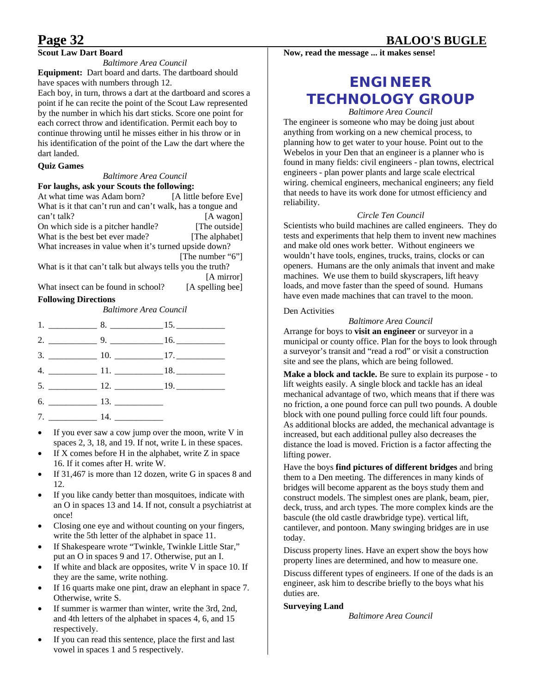### **Scout Law Dart Board**

*Baltimore Area Council*  **Equipment:** Dart board and darts. The dartboard should have spaces with numbers through 12. Each boy, in turn, throws a dart at the dartboard and scores a point if he can recite the point of the Scout Law represented by the number in which his dart sticks. Score one point for each correct throw and identification. Permit each boy to continue throwing until he misses either in his throw or in his identification of the point of the Law the dart where the dart landed.

#### **Quiz Games**

#### *Baltimore Area Council*

**For laughs, ask your Scouts the following:**  At what time was Adam born? [A little before Eve] What is it that can't run and can't walk, has a tongue and can't talk? [A wagon] On which side is a pitcher handle? [The outside] What is the best bet ever made? [The alphabet] What increases in value when it's turned upside down? [The number "6"]

What is it that can't talk but always tells you the truth?

What insect can be found in school? [A spelling bee]

#### **Following Directions**

*Baltimore Area Council* 

[A mirror]

- If you ever saw a cow jump over the moon, write V in spaces 2, 3, 18, and 19. If not, write L in these spaces.
- If  $X$  comes before  $H$  in the alphabet, write  $Z$  in space 16. If it comes after H. write W.
- If 31,467 is more than 12 dozen, write G in spaces 8 and 12.
- If you like candy better than mosquitoes, indicate with an O in spaces 13 and 14. If not, consult a psychiatrist at once!
- Closing one eye and without counting on your fingers, write the 5th letter of the alphabet in space 11.
- If Shakespeare wrote "Twinkle, Twinkle Little Star," put an O in spaces 9 and 17. Otherwise, put an I.
- If white and black are opposites, write V in space 10. If they are the same, write nothing.
- If 16 quarts make one pint, draw an elephant in space 7. Otherwise, write S.
- If summer is warmer than winter, write the 3rd, 2nd, and 4th letters of the alphabet in spaces 4, 6, and 15 respectively.
- If you can read this sentence, place the first and last vowel in spaces 1 and 5 respectively.

### **Now, read the message ... it makes sense!**

## **ENGINEER TECHNOLOGY GROUP**

*Baltimore Area Council* 

The engineer is someone who may be doing just about anything from working on a new chemical process, to planning how to get water to your house. Point out to the Webelos in your Den that an engineer is a planner who is found in many fields: civil engineers - plan towns, electrical engineers - plan power plants and large scale electrical wiring. chemical engineers, mechanical engineers; any field that needs to have its work done for utmost efficiency and reliability.

#### *Circle Ten Council*

Scientists who build machines are called engineers. They do tests and experiments that help them to invent new machines and make old ones work better. Without engineers we wouldn't have tools, engines, trucks, trains, clocks or can openers. Humans are the only animals that invent and make machines. We use them to build skyscrapers, lift heavy loads, and move faster than the speed of sound. Humans have even made machines that can travel to the moon.

#### Den Activities

#### *Baltimore Area Council*

Arrange for boys to **visit an engineer** or surveyor in a municipal or county office. Plan for the boys to look through a surveyor's transit and "read a rod" or visit a construction site and see the plans, which are being followed.

**Make a block and tackle.** Be sure to explain its purpose - to lift weights easily. A single block and tackle has an ideal mechanical advantage of two, which means that if there was no friction, a one pound force can pull two pounds. A double block with one pound pulling force could lift four pounds. As additional blocks are added, the mechanical advantage is increased, but each additional pulley also decreases the distance the load is moved. Friction is a factor affecting the lifting power.

Have the boys **find pictures of different bridges** and bring them to a Den meeting. The differences in many kinds of bridges will become apparent as the boys study them and construct models. The simplest ones are plank, beam, pier, deck, truss, and arch types. The more complex kinds are the bascule (the old castle drawbridge type). vertical lift, cantilever, and pontoon. Many swinging bridges are in use today.

Discuss property lines. Have an expert show the boys how property lines are determined, and how to measure one.

Discuss different types of engineers. If one of the dads is an engineer, ask him to describe briefly to the boys what his duties are.

#### **Surveying Land**

#### *Baltimore Area Council*

## **Page 32 BALOO'S BUGLE**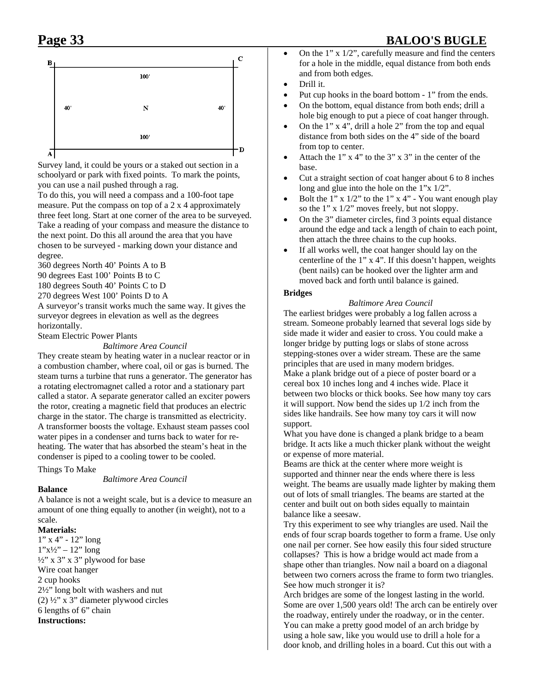## **Page 33** BALOO'S BUGLE



Survey land, it could be yours or a staked out section in a schoolyard or park with fixed points. To mark the points, you can use a nail pushed through a rag.

To do this, you will need a compass and a 100-foot tape measure. Put the compass on top of a 2 x 4 approximately three feet long. Start at one corner of the area to be surveyed. Take a reading of your compass and measure the distance to the next point. Do this all around the area that you have chosen to be surveyed - marking down your distance and degree.

360 degrees North 40' Points A to B

90 degrees East 100' Points B to C

180 degrees South 40' Points C to D

270 degrees West 100' Points D to A

A surveyor's transit works much the same way. It gives the surveyor degrees in elevation as well as the degrees horizontally.

Steam Electric Power Plants

#### *Baltimore Area Council*

They create steam by heating water in a nuclear reactor or in a combustion chamber, where coal, oil or gas is burned. The steam turns a turbine that runs a generator. The generator has a rotating electromagnet called a rotor and a stationary part called a stator. A separate generator called an exciter powers the rotor, creating a magnetic field that produces an electric charge in the stator. The charge is transmitted as electricity. A transformer boosts the voltage. Exhaust steam passes cool water pipes in a condenser and turns back to water for reheating. The water that has absorbed the steam's heat in the condenser is piped to a cooling tower to be cooled.

Things To Make

*Baltimore Area Council* 

#### **Balance**

A balance is not a weight scale, but is a device to measure an amount of one thing equally to another (in weight), not to a scale.

#### **Materials:**

1" x 4" - 12" long  $1"x!/2" - 12"$  long ½" x 3" x 3" plywood for base Wire coat hanger 2 cup hooks 2½" long bolt with washers and nut (2) ½" x 3" diameter plywood circles 6 lengths of 6" chain **Instructions:** 

- On the 1" x 1/2", carefully measure and find the centers for a hole in the middle, equal distance from both ends and from both edges.
- Drill it.
- Put cup hooks in the board bottom 1" from the ends.
- On the bottom, equal distance from both ends; drill a hole big enough to put a piece of coat hanger through.
- On the 1" x 4", drill a hole 2" from the top and equal distance from both sides on the 4" side of the board from top to center.
- Attach the  $1$ " x  $4$ " to the  $3$ " x  $3$ " in the center of the base.
- Cut a straight section of coat hanger about 6 to 8 inches long and glue into the hole on the 1"x 1/2".
- Bolt the  $1''$  x  $1/2''$  to the  $1''$  x  $4''$  You want enough play so the 1" x 1/2" moves freely, but not sloppy.
- On the 3" diameter circles, find 3 points equal distance around the edge and tack a length of chain to each point, then attach the three chains to the cup hooks.
- If all works well, the coat hanger should lay on the centerline of the 1" x 4". If this doesn't happen, weights (bent nails) can be hooked over the lighter arm and moved back and forth until balance is gained.

#### **Bridges**

#### *Baltimore Area Council*

The earliest bridges were probably a log fallen across a stream. Someone probably learned that several logs side by side made it wider and easier to cross. You could make a longer bridge by putting logs or slabs of stone across stepping-stones over a wider stream. These are the same principles that are used in many modern bridges. Make a plank bridge out of a piece of poster board or a cereal box 10 inches long and 4 inches wide. Place it between two blocks or thick books. See how many toy cars it will support. Now bend the sides up 1/2 inch from the sides like handrails. See how many toy cars it will now support.

What you have done is changed a plank bridge to a beam bridge. It acts like a much thicker plank without the weight or expense of more material.

Beams are thick at the center where more weight is supported and thinner near the ends where there is less weight. The beams are usually made lighter by making them out of lots of small triangles. The beams are started at the center and built out on both sides equally to maintain balance like a seesaw.

Try this experiment to see why triangles are used. Nail the ends of four scrap boards together to form a frame. Use only one nail per corner. See how easily this four sided structure collapses? This is how a bridge would act made from a shape other than triangles. Now nail a board on a diagonal between two corners across the frame to form two triangles. See how much stronger it is?

Arch bridges are some of the longest lasting in the world. Some are over 1,500 years old! The arch can be entirely over the roadway, entirely under the roadway, or in the center. You can make a pretty good model of an arch bridge by using a hole saw, like you would use to drill a hole for a door knob, and drilling holes in a board. Cut this out with a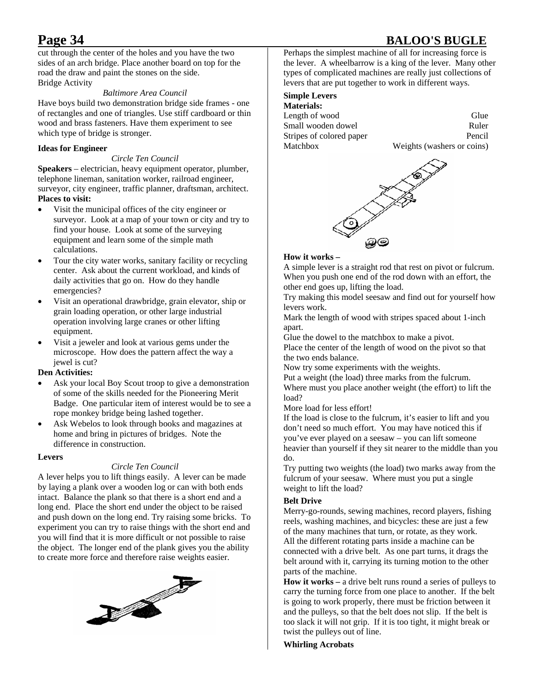## Page 34 BALOO'S BUGLE

cut through the center of the holes and you have the two sides of an arch bridge. Place another board on top for the road the draw and paint the stones on the side. Bridge Activity

#### *Baltimore Area Council*

Have boys build two demonstration bridge side frames - one of rectangles and one of triangles. Use stiff cardboard or thin wood and brass fasteners. Have them experiment to see which type of bridge is stronger.

#### **Ideas for Engineer**

#### *Circle Ten Council*

**Speakers** – electrician, heavy equipment operator, plumber, telephone lineman, sanitation worker, railroad engineer, surveyor, city engineer, traffic planner, draftsman, architect. **Places to visit:** 

- Visit the municipal offices of the city engineer or surveyor. Look at a map of your town or city and try to find your house. Look at some of the surveying equipment and learn some of the simple math calculations.
- Tour the city water works, sanitary facility or recycling center. Ask about the current workload, and kinds of daily activities that go on. How do they handle emergencies?
- Visit an operational drawbridge, grain elevator, ship or grain loading operation, or other large industrial operation involving large cranes or other lifting equipment.
- Visit a jeweler and look at various gems under the microscope. How does the pattern affect the way a jewel is cut?

#### **Den Activities:**

- Ask your local Boy Scout troop to give a demonstration of some of the skills needed for the Pioneering Merit Badge. One particular item of interest would be to see a rope monkey bridge being lashed together.
- Ask Webelos to look through books and magazines at home and bring in pictures of bridges. Note the difference in construction.

#### **Levers**

### *Circle Ten Council*

A lever helps you to lift things easily. A lever can be made by laying a plank over a wooden log or can with both ends intact. Balance the plank so that there is a short end and a long end. Place the short end under the object to be raised and push down on the long end. Try raising some bricks. To experiment you can try to raise things with the short end and you will find that it is more difficult or not possible to raise the object. The longer end of the plank gives you the ability to create more force and therefore raise weights easier.



Perhaps the simplest machine of all for increasing force is the lever. A wheelbarrow is a king of the lever. Many other types of complicated machines are really just collections of levers that are put together to work in different ways.

#### **Simple Levers Materials:**

Length of wood Glue Small wooden dowel **Ruler** Ruler Stripes of colored paper Pencil Matchbox Weights (washers or coins)



### **How it works –**

A simple lever is a straight rod that rest on pivot or fulcrum. When you push one end of the rod down with an effort, the other end goes up, lifting the load.

Try making this model seesaw and find out for yourself how levers work.

Mark the length of wood with stripes spaced about 1-inch apart.

Glue the dowel to the matchbox to make a pivot.

Place the center of the length of wood on the pivot so that the two ends balance.

Now try some experiments with the weights.

Put a weight (the load) three marks from the fulcrum. Where must you place another weight (the effort) to lift the load?

More load for less effort!

If the load is close to the fulcrum, it's easier to lift and you don't need so much effort. You may have noticed this if you've ever played on a seesaw – you can lift someone heavier than yourself if they sit nearer to the middle than you do.

Try putting two weights (the load) two marks away from the fulcrum of your seesaw. Where must you put a single weight to lift the load?

#### **Belt Drive**

Merry-go-rounds, sewing machines, record players, fishing reels, washing machines, and bicycles: these are just a few of the many machines that turn, or rotate, as they work. All the different rotating parts inside a machine can be connected with a drive belt. As one part turns, it drags the belt around with it, carrying its turning motion to the other parts of the machine.

**How it works –** a drive belt runs round a series of pulleys to carry the turning force from one place to another. If the belt is going to work properly, there must be friction between it and the pulleys, so that the belt does not slip. If the belt is too slack it will not grip. If it is too tight, it might break or twist the pulleys out of line.

#### **Whirling Acrobats**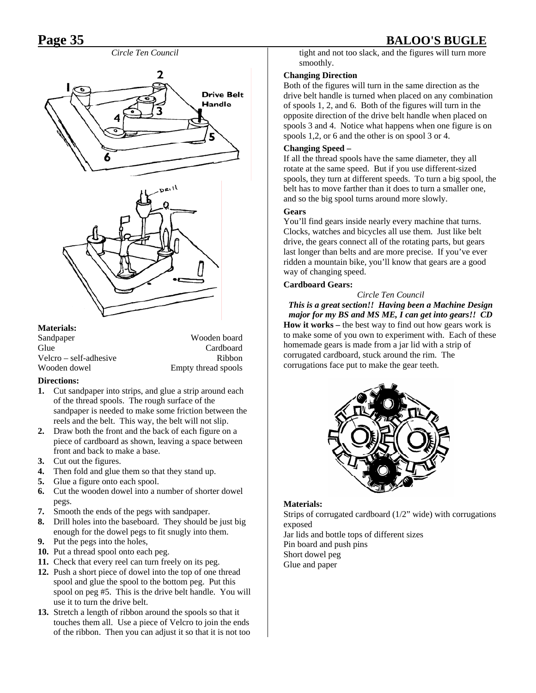## **Page 35 BALOO'S BUGLE**

*Circle Ten Council*



#### **Materials:**

| Sandpaper              | Wooden board        |
|------------------------|---------------------|
| Glue                   | Cardboard           |
| Velcro – self-adhesive | Ribbon              |
| Wooden dowel           | Empty thread spools |

#### **Directions:**

- **1.** Cut sandpaper into strips, and glue a strip around each of the thread spools. The rough surface of the sandpaper is needed to make some friction between the reels and the belt. This way, the belt will not slip.
- **2.** Draw both the front and the back of each figure on a piece of cardboard as shown, leaving a space between front and back to make a base.
- **3.** Cut out the figures.
- **4.** Then fold and glue them so that they stand up.
- **5.** Glue a figure onto each spool.
- **6.** Cut the wooden dowel into a number of shorter dowel pegs.
- **7.** Smooth the ends of the pegs with sandpaper.
- **8.** Drill holes into the baseboard. They should be just big enough for the dowel pegs to fit snugly into them.
- **9.** Put the pegs into the holes,
- **10.** Put a thread spool onto each peg.
- **11.** Check that every reel can turn freely on its peg.
- **12.** Push a short piece of dowel into the top of one thread spool and glue the spool to the bottom peg. Put this spool on peg #5. This is the drive belt handle. You will use it to turn the drive belt.
- **13.** Stretch a length of ribbon around the spools so that it touches them all. Use a piece of Velcro to join the ends of the ribbon. Then you can adjust it so that it is not too

tight and not too slack, and the figures will turn more smoothly.

#### **Changing Direction**

Both of the figures will turn in the same direction as the drive belt handle is turned when placed on any combination of spools 1, 2, and 6. Both of the figures will turn in the opposite direction of the drive belt handle when placed on spools 3 and 4. Notice what happens when one figure is on spools 1,2, or 6 and the other is on spool 3 or 4.

#### **Changing Speed –**

If all the thread spools have the same diameter, they all rotate at the same speed. But if you use different-sized spools, they turn at different speeds. To turn a big spool, the belt has to move farther than it does to turn a smaller one, and so the big spool turns around more slowly.

#### **Gears**

You'll find gears inside nearly every machine that turns. Clocks, watches and bicycles all use them. Just like belt drive, the gears connect all of the rotating parts, but gears last longer than belts and are more precise. If you've ever ridden a mountain bike, you'll know that gears are a good way of changing speed.

#### **Cardboard Gears:**

*Circle Ten Council This is a great section!! Having been a Machine Design major for my BS and MS ME, I can get into gears!! CD* **How it works –** the best way to find out how gears work is to make some of you own to experiment with. Each of these homemade gears is made from a jar lid with a strip of corrugated cardboard, stuck around the rim. The corrugations face put to make the gear teeth.



#### **Materials:**

Strips of corrugated cardboard (1/2" wide) with corrugations exposed

Jar lids and bottle tops of different sizes Pin board and push pins Short dowel peg Glue and paper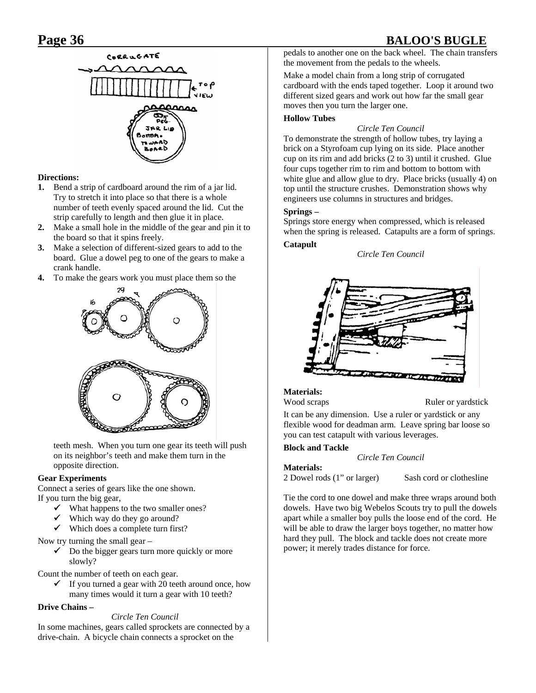## **Page 36** BALOO'S BUGLE



#### **Directions:**

- **1.** Bend a strip of cardboard around the rim of a jar lid. Try to stretch it into place so that there is a whole number of teeth evenly spaced around the lid. Cut the strip carefully to length and then glue it in place.
- **2.** Make a small hole in the middle of the gear and pin it to the board so that it spins freely.
- **3.** Make a selection of different-sized gears to add to the board. Glue a dowel peg to one of the gears to make a crank handle.
- **4.** To make the gears work you must place them so the



teeth mesh. When you turn one gear its teeth will push on its neighbor's teeth and make them turn in the opposite direction.

#### **Gear Experiments**

Connect a series of gears like the one shown. If you turn the big gear,

- $\checkmark$  What happens to the two smaller ones?
- $\checkmark$  Which way do they go around?
- $\checkmark$  Which does a complete turn first?

#### Now try turning the small gear –

 $\checkmark$  Do the bigger gears turn more quickly or more slowly?

Count the number of teeth on each gear.

 $\checkmark$  If you turned a gear with 20 teeth around once, how many times would it turn a gear with 10 teeth?

#### **Drive Chains –**

*Circle Ten Council*

In some machines, gears called sprockets are connected by a drive-chain. A bicycle chain connects a sprocket on the

pedals to another one on the back wheel. The chain transfers the movement from the pedals to the wheels.

Make a model chain from a long strip of corrugated cardboard with the ends taped together. Loop it around two different sized gears and work out how far the small gear moves then you turn the larger one.

#### **Hollow Tubes**

#### *Circle Ten Council*

To demonstrate the strength of hollow tubes, try laying a brick on a Styrofoam cup lying on its side. Place another cup on its rim and add bricks (2 to 3) until it crushed. Glue four cups together rim to rim and bottom to bottom with white glue and allow glue to dry. Place bricks (usually 4) on top until the structure crushes. Demonstration shows why engineers use columns in structures and bridges.

#### **Springs –**

Springs store energy when compressed, which is released when the spring is released. Catapults are a form of springs.

### **Catapult**

*Circle Ten Council*



### **Materials:**

Wood scraps Ruler or yardstick

It can be any dimension. Use a ruler or yardstick or any flexible wood for deadman arm. Leave spring bar loose so you can test catapult with various leverages.

#### **Block and Tackle**

*Circle Ten Council*

**Materials:**

2 Dowel rods (1" or larger) Sash cord or clothesline

Tie the cord to one dowel and make three wraps around both dowels. Have two big Webelos Scouts try to pull the dowels apart while a smaller boy pulls the loose end of the cord. He will be able to draw the larger boys together, no matter how hard they pull. The block and tackle does not create more power; it merely trades distance for force.